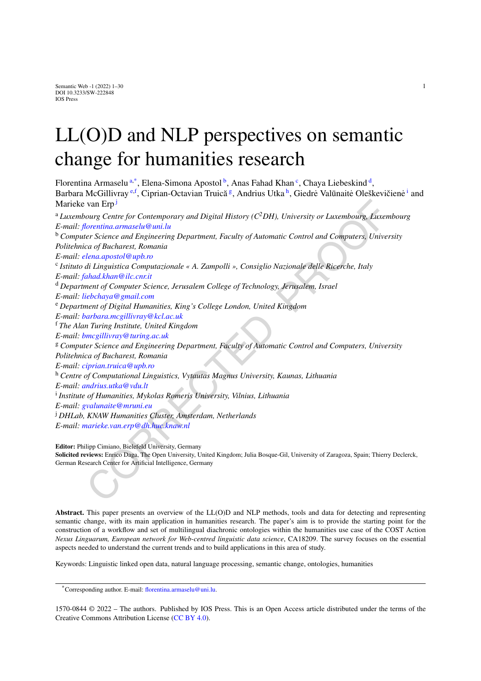# LL(O)D and NLP perspectives on semantic change for humanities research

<span id="page-0-5"></span><span id="page-0-4"></span><span id="page-0-3"></span><span id="page-0-2"></span><span id="page-0-0"></span>van Erp<sup>3</sup><br>van Erp1<br>ourg Centre for Contemporary and Digital History (C<sup>2</sup>DH), University or Luxembourg, Luxem<br>blocaritina.armaselu@uni.lu<br>terretina.armaselu@uni.lu<br>of a Dicharest, Romania<br>era of Bucharest, Romania<br>il.a.d. Florentin[a](#page-0-0) Armaselu<sup>a[,\\*](#page-0-1)</sup>, Elena-Simona Apostol [b](#page-0-2), Anas Fahad Khan <sup>[c](#page-0-3)</sup>, Chaya Liebeskin[d](#page-0-4) <sup>d</sup>, Barbara McGillivray <sup>[e](#page-0-5)[,f](#page-0-6)</sup>, Ciprian-Octavian Truică<sup>[g](#page-0-7)</sup>, Andrius Utka <sup>[h](#page-0-8)</sup>, G[i](#page-0-9)edrė Valūnaitė Oleškevičienė <sup>i</sup> and Marieke van Erp<sup>j</sup> <sup>a</sup> *Luxembourg Centre for Contemporary and Digital History (C2DH), University or Luxembourg, Luxembourg E-mail: florentina.armaselu@uni.lu* <sup>b</sup> *Computer Science and Engineering Department, Faculty of Automatic Control and Computers, University Politehnica of Bucharest, Romania E-mail: elena.apostol@upb.ro* <sup>c</sup> *Istituto di Linguistica Computazionale « A. Zampolli », Consiglio Nazionale delle Ricerche, Italy E-mail: fahad.khan@ilc.cnr.it* <sup>d</sup> *Department of Computer Science, Jerusalem College of Technology, Jerusalem, Israel E-mail: liebchaya@gmail.com* <sup>e</sup> *Department of Digital Humanities, King's College London, United Kingdom E-mail: barbara.mcgillivray@kcl.ac.uk* <sup>f</sup> *The Alan Turing Institute, United Kingdom E-mail: bmcgillivray@turing.ac.uk* <sup>g</sup> *Computer Science and Engineering Department, Faculty of Automatic Control and Computers, University Politehnica of Bucharest, Romania E-mail: ciprian.truica@upb.ro* <sup>h</sup> *Centre of Computational Linguistics, Vytautas Magnus University, Kaunas, Lithuania E-mail: andrius.utka@vdu.lt* <sup>i</sup> *Institute of Humanities, Mykolas Romeris University, Vilnius, Lithuania E-mail: gvalunaite@mruni.eu* <sup>j</sup> *DHLab, KNAW Humanities Cluster, Amsterdam, Netherlands E-mail: marieke.van.erp@dh.huc.knaw.nl*

<span id="page-0-10"></span><span id="page-0-9"></span><span id="page-0-8"></span><span id="page-0-7"></span><span id="page-0-6"></span>**Editor:** Philipp Cimiano, Bielefeld University, Germany **Solicited reviews:** Enrico Daga, The Open University, United Kingdom; Julia Bosque-Gil, University of Zaragoza, Spain; Thierry Declerck, German Research Center for Artificial Intelligence, Germany

**Abstract.** This paper presents an overview of the LL(O)D and NLP methods, tools and data for detecting and representing semantic change, with its main application in humanities research. The paper's aim is to provide the starting point for the construction of a workflow and set of multilingual diachronic ontologies within the humanities use case of the COST Action *Nexus Linguarum, European network for Web-centred linguistic data science*, CA18209. The survey focuses on the essential aspects needed to understand the current trends and to build applications in this area of study.

Keywords: Linguistic linked open data, natural language processing, semantic change, ontologies, humanities

1570-0844 © 2022 – The authors. Published by IOS Press. This is an Open Access article distributed under the terms of the Creative Commons Attribution License (CC [BY](https://creativecommons.org/licenses/by/4.0/) 4.0).

<span id="page-0-1"></span><sup>\*</sup>Corresponding author. E-mail: [florentina.armaselu@uni.lu.](mailto:florentina.armaselu@uni.lu)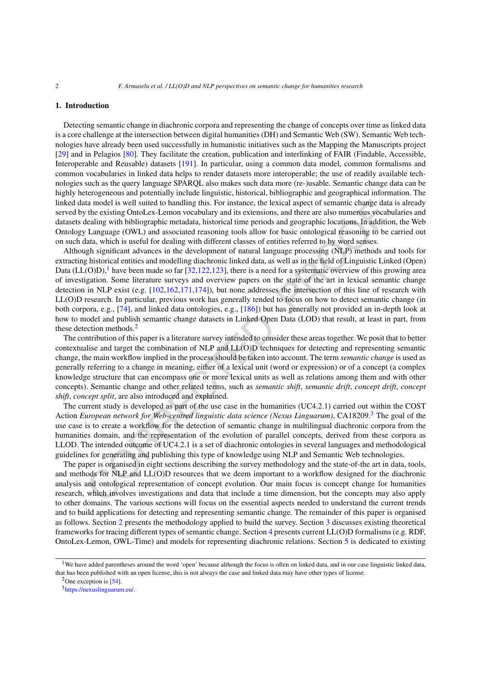## <span id="page-1-3"></span>**1. Introduction**

Detecting semantic change in diachronic corpora and representing the change of concepts over time as linked data is a core challenge at the intersection between digital humanities (DH) and Semantic Web (SW). Semantic Web technologies have already been used successfully in humanistic initiatives such as the Mapping the Manuscripts project [[29\]](#page-23-0) and in Pelagios [[80\]](#page-24-0). They facilitate the creation, publication and interlinking of FAIR (Findable, Accessible, Interoperable and Reusable) datasets [\[191](#page-28-0)]. In particular, using a common data model, common formalisms and common vocabularies in linked data helps to render datasets more interoperable; the use of readily available technologies such as the query language SPARQL also makes such data more (re-)usable. Semantic change data can be highly heterogeneous and potentially include linguistic, historical, bibliographic and geographical information. The linked data model is well suited to handling this. For instance, the lexical aspect of semantic change data is already served by the existing OntoLex-Lemon vocabulary and its extensions, and there are also numerous vocabularies and datasets dealing with bibliographic metadata, historical time periods and geographic locations. In addition, the Web Ontology Language (OWL) and associated reasoning tools allow for basic ontological reasoning to be carried out on such data, which is useful for dealing with different classes of entities referred to by word senses.

In model is well suited to handling this. For instance, the levical aspect of semantic change data and the existing OntoLex-Lemon vocabulary and its extensions, and there are laso numerous yocal<br>lealing with bibliographic Although significant advances in the development of natural language processing (NLP) methods and tools for extracting historical entities and modelling diachronic linked data, as well as in the field of Linguistic Linked (Open) Data (LL(O)D),<sup>1</sup> have been made so far [32,122,123], there is a need for a systematic overview of this growing area of investigation. Some literature surveys and overview papers on the state of the art in lexical semantic change detection in NLP exist (e.g. [102,162,171,174]), but none addresses the intersection of this line of research with LL(O)D research. In particular, previous work has generally tended to focus on how to detect semantic change (in both corpora, e.g., [74], and linked data ontologies, e.g., [186]) but has generally not provided an in-depth look at how to model and publish semantic change datasets in Linked Open Data (LOD) that result, at least in part, from these detection methods.<sup>2</sup>

The contribution of this paper is a literature survey intended to consider these areas together. We posit that to better contextualise and target the combination of NLP and LL(O)D techniques for detecting and representing semantic change, the main workflow implied in the process should be taken into account. The term *semantic change* is used as generally referring to a change in meaning, either of a lexical unit (word or expression) or of a concept (a complex knowledge structure that can encompass one or more lexical units as well as relations among them and with other concepts). Semantic change and other related terms, such as *semantic shift*, *semantic drift*, *concept drift*, *concept shift*, *concept split*, are also introduced and explained.

The current study is developed as part of the use case in the humanities (UC4.2.1) carried out within the COST Action *European network for Web-centred linguistic data science (Nexus Linguarum)*, CA18209.3 The goal of the use case is to create a workflow for the detection of semantic change in multilingual diachronic corpora from the humanities domain, and the representation of the evolution of parallel concepts, derived from these corpora as LLOD. The intended outcome of UC4.2.1 is a set of diachronic ontologies in several languages and methodological guidelines for generating and publishing this type of knowledge using NLP and Semantic Web technologies.

The paper is organised in eight sections describing the survey methodology and the state-of-the art in data, tools, and methods for NLP and LL(O)D resources that we deem important to a workflow designed for the diachronic analysis and ontological representation of concept evolution. Our main focus is concept change for humanities research, which involves investigations and data that include a time dimension, but the concepts may also apply to other domains. The various sections will focus on the essential aspects needed to understand the current trends and to build applications for detecting and representing semantic change. The remainder of this paper is organised as follows. Section [2](#page-2-0) presents the methodology applied to build the survey. Section [3](#page-3-0) discusses existing theoretical frameworks for tracing different types of semantic change. Section [4](#page-7-0) presents current LL(O)D formalisms (e.g. RDF, OntoLex-Lemon, OWL-Time) and models for representing diachronic relations. Section [5](#page-10-0) is dedicated to existing

<span id="page-1-0"></span><sup>&</sup>lt;sup>1</sup>We have added parentheses around the word 'open' because although the focus is often on linked data, and in our case linguistic linked data, that has been published with an open license, this is not always the case and linked data may have other types of license.

<span id="page-1-1"></span> $2$ One exception is [\[54](#page-24-2)].

<span id="page-1-2"></span><sup>3</sup><https://nexuslinguarum.eu/>.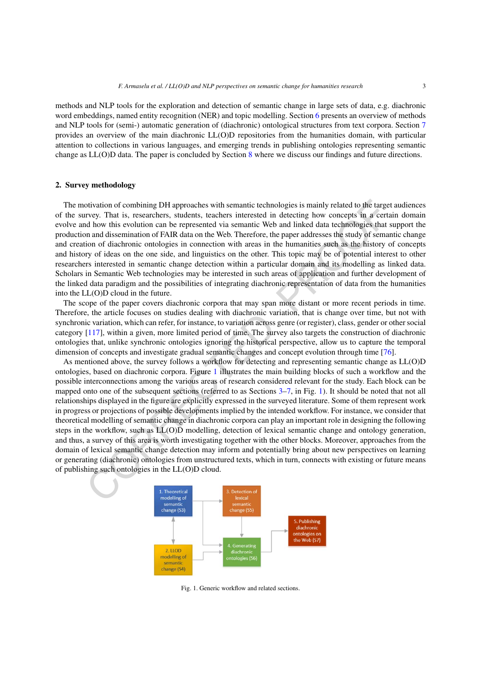methods and NLP tools for the exploration and detection of semantic change in large sets of data, e.g. diachronic word embeddings, named entity recognition (NER) and topic modelling. Section [6](#page-15-0) presents an overview of methods and NLP tools for (semi-) automatic generation of (diachronic) ontological structures from text corpora. Section [7](#page-18-0) provides an overview of the main diachronic LL(O)D repositories from the humanities domain, with particular attention to collections in various languages, and emerging trends in publishing ontologies representing semantic change as LL(O)D data. The paper is concluded by Section [8](#page-19-0) where we discuss our findings and future directions.

#### <span id="page-2-0"></span>**2. Survey methodology**

The motivation of combining DH approaches with semantic technologies is mainly related to the target audiences of the survey. That is, researchers, students, teachers interested in detecting how concepts in a certain domain evolve and how this evolution can be represented via semantic Web and linked data technologies that support the production and dissemination of FAIR data on the Web. Therefore, the paper addresses the study of semantic change and creation of diachronic ontologies in connection with areas in the humanities such as the history of concepts and history of ideas on the one side, and linguistics on the other. This topic may be of potential interest to other researchers interested in semantic change detection within a particular domain and its modelling as linked data. Scholars in Semantic Web technologies may be interested in such areas of application and further development of the linked data paradigm and the possibilities of integrating diachronic representation of data from the humanities into the LL(O)D cloud in the future.

The scope of the paper covers diachronic corpora that may span more distant or more recent periods in time. Therefore, the article focuses on studies dealing with diachronic variation, that is change over time, but not with synchronic variation, which can refer, for instance, to variation across genre (or register), class, gender or other social category [117], within a given, more limited period of time. The survey also targets the construction of diachronic ontologies that, unlike synchronic ontologies ignoring the historical perspective, allow us to capture the temporal dimension of concepts and investigate gradual semantic changes and concept evolution through time [76].

otivation of connehating DH approaches with semantic technologies is mainly related to the target<br>
revey. That is, researches, suddents, teaches interested in detecting how concepts in a certifical<br>
do low this evolution c As mentioned above, the survey follows a workflow for detecting and representing semantic change as LL(O)D ontologies, based on diachronic corpora. Figure 1 illustrates the main building blocks of such a workflow and the possible interconnections among the various areas of research considered relevant for the study. Each block can be mapped onto one of the subsequent sections (referred to as Sections 3–7, in Fig. 1). It should be noted that not all relationships displayed in the figure are explicitly expressed in the surveyed literature. Some of them represent work in progress or projections of possible developments implied by the intended workflow. For instance, we consider that theoretical modelling of semantic change in diachronic corpora can play an important role in designing the following steps in the workflow, such as LL(O)D modelling, detection of lexical semantic change and ontology generation, and thus, a survey of this area is worth investigating together with the other blocks. Moreover, approaches from the domain of lexical semantic change detection may inform and potentially bring about new perspectives on learning or generating (diachronic) ontologies from unstructured texts, which in turn, connects with existing or future means of publishing such ontologies in the LL(O)D cloud.



<span id="page-2-1"></span>Fig. 1. Generic workflow and related sections.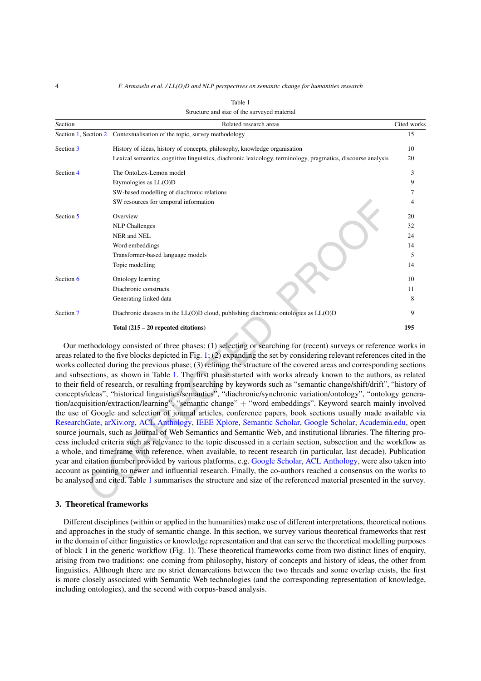4 *F. Armaselu et al. / LL(O)D and NLP perspectives on semantic change for humanities research*

| Structure and size of the surveyed material |                                                                                                              |             |  |
|---------------------------------------------|--------------------------------------------------------------------------------------------------------------|-------------|--|
| Section                                     | Related research areas                                                                                       | Cited works |  |
| Section 1, Section 2                        | Contextualisation of the topic, survey methodology                                                           | 15          |  |
| Section 3                                   | History of ideas, history of concepts, philosophy, knowledge organisation                                    | 10          |  |
|                                             | Lexical semantics, cognitive linguistics, diachronic lexicology, terminology, pragmatics, discourse analysis | 20          |  |
| Section 4                                   | The OntoLex-Lemon model                                                                                      | 3           |  |
|                                             | Etymologies as LL(O)D                                                                                        | 9           |  |
|                                             | SW-based modelling of diachronic relations                                                                   |             |  |
|                                             | SW resources for temporal information                                                                        | 4           |  |
| Section 5                                   | Overview                                                                                                     | 20          |  |
|                                             | <b>NLP</b> Challenges                                                                                        | 32          |  |
|                                             | NER and NEL                                                                                                  | 24          |  |
|                                             | Word embeddings                                                                                              | 14          |  |
|                                             | Transformer-based language models                                                                            | 5           |  |
|                                             | Topic modelling                                                                                              | 14          |  |
| Section 6                                   | Ontology learning                                                                                            | 10          |  |
|                                             | Diachronic constructs                                                                                        | 11          |  |
|                                             | Generating linked data                                                                                       | 8           |  |
| Section 7                                   | Diachronic datasets in the LL(O)D cloud, publishing diachronic ontologies as LL(O)D                          | 9           |  |
|                                             | Total $(215 - 20$ repeated citations)                                                                        | 195         |  |

<span id="page-3-1"></span>

SW resources for temporal information<br>Overview<br>WI-P Challenges<br>NER and NEL<br>Word enhology learning<br>NER and NEL<br>Word enhofidings<br>[T](#page-2-1)ransformer-based language models<br>Tropic modelling<br>Denkrotic controlling Dinachronic controllin Our methodology consisted of three phases: (1) selecting or searching for (recent) surveys or reference works in areas related to the five blocks depicted in Fig. 1; (2) expanding the set by considering relevant references cited in the works collected during the previous phase; (3) refining the structure of the covered areas and corresponding sections and subsections, as shown in Table 1. The first phase started with works already known to the authors, as related to their field of research, or resulting from searching by keywords such as "semantic change/shift/drift", "history of concepts/ideas", "historical linguistics/semantics", "diachronic/synchronic variation/ontology", "ontology generation/acquisition/extraction/learning", "semantic change" + "word embeddings". Keyword search mainly involved the use of Google and selection of journal articles, conference papers, book sections usually made available via [ResearchGate,](https://www.researchgate.net/) arXiv.org, ACL Anthology, IEEE Xplore, Semantic Scholar, Google Scholar, [Academia.edu](https://www.academia.edu/), open source journals, such as Journal of Web Semantics and Semantic Web, and institutional libraries. The filtering process included criteria such as relevance to the topic discussed in a certain section, subsection and the workflow as a whole, and timeframe with reference, when available, to recent research (in particular, last decade). Publication year and citation number provided by various platforms, e.g. Google Scholar, ACL Anthology, were also taken into account as pointing to newer and influential research. Finally, the co-authors reached a consensus on the works to be analysed and cited. Table 1 summarises the structure and size of the referenced material presented in the survey.

## <span id="page-3-0"></span>**3. Theoretical frameworks**

Different disciplines (within or applied in the humanities) make use of different interpretations, theoretical notions and approaches in the study of semantic change. In this section, we survey various theoretical frameworks that rest in the domain of either linguistics or knowledge representation and that can serve the theoretical modelling purposes of block 1 in the generic workflow (Fig. [1\)](#page-2-1). These theoretical frameworks come from two distinct lines of enquiry, arising from two traditions: one coming from philosophy, history of concepts and history of ideas, the other from linguistics. Although there are no strict demarcations between the two threads and some overlap exists, the first is more closely associated with Semantic Web technologies (and the corresponding representation of knowledge, including ontologies), and the second with corpus-based analysis.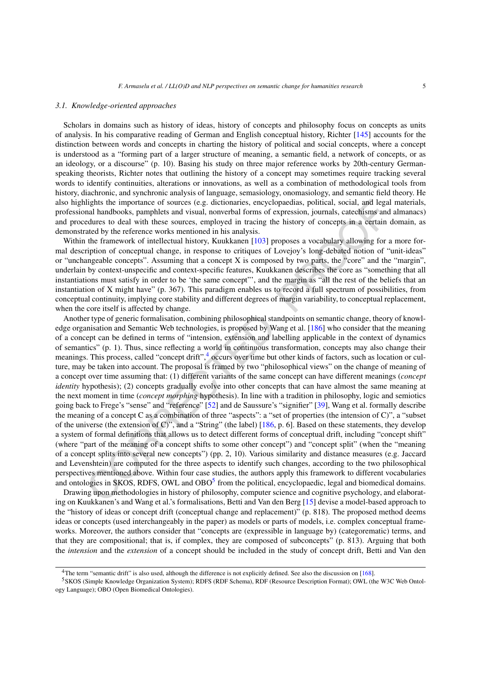#### <span id="page-4-2"></span>*3.1. Knowledge-oriented approaches*

Scholars in domains such as history of ideas, history of concepts and philosophy focus on concepts as units of analysis. In his comparative reading of German and English conceptual history, Richter [[145\]](#page-27-1) accounts for the distinction between words and concepts in charting the history of political and social concepts, where a concept is understood as a "forming part of a larger structure of meaning, a semantic field, a network of concepts, or as an ideology, or a discourse" (p. 10). Basing his study on three major reference works by 20th-century Germanspeaking theorists, Richter notes that outlining the history of a concept may sometimes require tracking several words to identify continuities, alterations or innovations, as well as a combination of methodological tools from history, diachronic, and synchronic analysis of language, semasiology, onomasiology, and semantic field theory. He also highlights the importance of sources (e.g. dictionaries, encyclopaedias, political, social, and legal materials, professional handbooks, pamphlets and visual, nonverbal forms of expression, journals, catechisms and almanacs) and procedures to deal with these sources, employed in tracing the history of concepts in a certain domain, as demonstrated by the reference works mentioned in his analysis.

Within the framework of intellectual history, Kuukkanen [103] proposes a vocabulary allowing for a more formal description of conceptual change, in response to critiques of Lovejoy's long-debated notion of "unit-ideas" or "unchangeable concepts". Assuming that a concept X is composed by two parts, the "core" and the "margin", underlain by context-unspecific and context-specific features, Kuukkanen describes the core as "something that all instantiations must satisfy in order to be 'the same concept"', and the margin as "all the rest of the beliefs that an instantiation of X might have" (p. 367). This paradigm enables us to record a full spectrum of possibilities, from conceptual continuity, implying core stability and different degrees of margin variability, to conceptual replacement, when the core itself is affected by change.

lights the importance of sources (e.g. dictionaries, encyclopedias, political, social, and legat<br>nat handbooks, pampliets and visual, nonverbal forms of expression, journals, catechisms and<br>edures to deal with these source Another type of generic formalisation, combining philosophical standpoints on semantic change, theory of knowledge organisation and Semantic Web technologies, is proposed by Wang et al. [186] who consider that the meaning of a concept can be defined in terms of "intension, extension and labelling applicable in the context of dynamics of semantics" (p. 1). Thus, since reflecting a world in continuous transformation, concepts may also change their meanings. This process, called "concept drift",<sup>4</sup> occurs over time but other kinds of factors, such as location or culture, may be taken into account. The proposal is framed by two "philosophical views" on the change of meaning of a concept over time assuming that: (1) different variants of the same concept can have different meanings (*concept identity* hypothesis); (2) concepts gradually evolve into other concepts that can have almost the same meaning at the next moment in time (*concept morphing* hypothesis). In line with a tradition in philosophy, logic and semiotics going back to Frege's "sense" and "reference" [52] and de Saussure's "signifier" [39], Wang et al. formally describe the meaning of a concept C as a combination of three "aspects": a "set of properties (the intension of C)", a "subset of the universe (the extension of C)", and a "String" (the label) [186, p. 6]. Based on these statements, they develop a system of formal definitions that allows us to detect different forms of conceptual drift, including "concept shift" (where "part of the meaning of a concept shifts to some other concept") and "concept split" (when the "meaning of a concept splits into several new concepts") (pp. 2, 10). Various similarity and distance measures (e.g. Jaccard and Levenshtein) are computed for the three aspects to identify such changes, according to the two philosophical perspectives mentioned above. Within four case studies, the authors apply this framework to different vocabularies and ontologies in SKOS, RDFS, OWL and OBO<sup>5</sup> from the political, encyclopaedic, legal and biomedical domains.

Drawing upon methodologies in history of philosophy, computer science and cognitive psychology, and elaborating on Kuukkanen's and Wang et al.'s formalisations, Betti and Van den Berg [15] devise a model-based approach to the "history of ideas or concept drift (conceptual change and replacement)" (p. 818). The proposed method deems ideas or concepts (used interchangeably in the paper) as models or parts of models, i.e. complex conceptual frameworks. Moreover, the authors consider that "concepts are (expressible in language by) (categorematic) terms, and that they are compositional; that is, if complex, they are composed of subconcepts" (p. 813). Arguing that both the *intension* and the *extension* of a concept should be included in the study of concept drift, Betti and Van den

<span id="page-4-1"></span><span id="page-4-0"></span><sup>4</sup>The term "semantic drift" is also used, although the difference is not explicitly defined. See also the discussion on [[168\]](#page-28-4).

<sup>5</sup>SKOS (Simple Knowledge Organization System); RDFS (RDF Schema), RDF (Resource Description Format); OWL (the W3C Web Ontology Language); OBO (Open Biomedical Ontologies).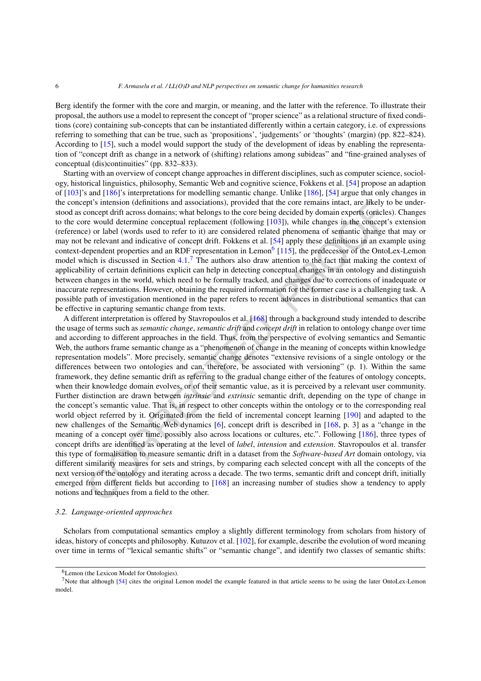Berg identify the former with the core and margin, or meaning, and the latter with the reference. To illustrate their proposal, the authors use a model to represent the concept of "proper science" as a relational structure of fixed conditions (core) containing sub-concepts that can be instantiated differently within a certain category, i.e. of expressions referring to something that can be true, such as 'propositions', 'judgements' or 'thoughts' (margin) (pp. 822–824). According to [\[15](#page-22-0)], such a model would support the study of the development of ideas by enabling the representation of "concept drift as change in a network of (shifting) relations among subideas" and "fine-grained analyses of conceptual (dis)continuities" (pp. 832–833).

Starting with an overview of concept change approaches in different disciplines, such as computer science, sociology, historical linguistics, philosophy, Semantic Web and cognitive science, Fokkens et al. [\[54](#page-24-2)] propose an adaption of [[103\]](#page-25-1)'s and [\[186](#page-28-3)]'s interpretations for modelling semantic change. Unlike [\[186](#page-28-3)], [\[54](#page-24-2)] argue that only changes in the concept's intension (definitions and associations), provided that the core remains intact, are likely to be understood as concept drift across domains; what belongs to the core being decided by domain experts (oracles). Changes to the core would determine conceptual replacement (following [103]), while changes in the concept's extension (reference) or label (words used to refer to it) are considered related phenomena of semantic change that may or may not be relevant and indicative of concept drift. Fokkens et al. [54] apply these definitions in an example using context-dependent properties and an RDF representation in Lemon<sup>6</sup> [115], the predecessor of the OntoLex-Lemon model which is discussed in Section 4.1.<sup>7</sup> The authors also draw attention to the fact that making the context of applicability of certain definitions explicit can help in detecting conceptual changes in an ontology and distinguish between changes in the world, which need to be formally tracked, and changes due to corrections of inadequate or inaccurate representations. However, obtaining the required information for the former case is a challenging task. A possible path of investigation mentioned in the paper refers to recent advances in distributional semantics that can be effective in capturing semantic change from texts.

pl's intension (definitions and associations), provided that the core remains intact, are likely to<br>increar that the correlations and associations), provided that the correlation encompedient<br>respectively differemine conce A different interpretation is offered by Stavropoulos et al. [168] through a background study intended to describe the usage of terms such as *semantic change*, *semantic drift* and *concept drift* in relation to ontology change over time and according to different approaches in the field. Thus, from the perspective of evolving semantics and Semantic Web, the authors frame semantic change as a "phenomenon of change in the meaning of concepts within knowledge representation models". More precisely, semantic change denotes "extensive revisions of a single ontology or the differences between two ontologies and can, therefore, be associated with versioning" (p. 1). Within the same framework, they define semantic drift as referring to the gradual change either of the features of ontology concepts, when their knowledge domain evolves, or of their semantic value, as it is perceived by a relevant user community. Further distinction are drawn between *intrinsic* and *extrinsic* semantic drift, depending on the type of change in the concept's semantic value. That is, in respect to other concepts within the ontology or to the corresponding real world object referred by it. Originated from the field of incremental concept learning [190] and adapted to the new challenges of the Semantic Web dynamics [6], concept drift is described in [168, p. 3] as a "change in the meaning of a concept over time, possibly also across locations or cultures, etc.". Following [186], three types of concept drifts are identified as operating at the level of *label*, *intension* and *extension*. Stavropoulos et al. transfer this type of formalisation to measure semantic drift in a dataset from the *Software-based Art* domain ontology, via different similarity measures for sets and strings, by comparing each selected concept with all the concepts of the next version of the ontology and iterating across a decade. The two terms, semantic drift and concept drift, initially emerged from different fields but according to [168] an increasing number of studies show a tendency to apply notions and techniques from a field to the other.

#### <span id="page-5-2"></span>*3.2. Language-oriented approaches*

Scholars from computational semantics employ a slightly different terminology from scholars from history of ideas, history of concepts and philosophy. Kutuzov et al. [[102\]](#page-25-0), for example, describe the evolution of word meaning over time in terms of "lexical semantic shifts" or "semantic change", and identify two classes of semantic shifts:

<span id="page-5-1"></span><span id="page-5-0"></span><sup>6</sup>Lemon (the Lexicon Model for Ontologies).

<sup>7</sup>Note that although [\[54\]](#page-24-2) cites the original Lemon model the example featured in that article seems to be using the later OntoLex-Lemon model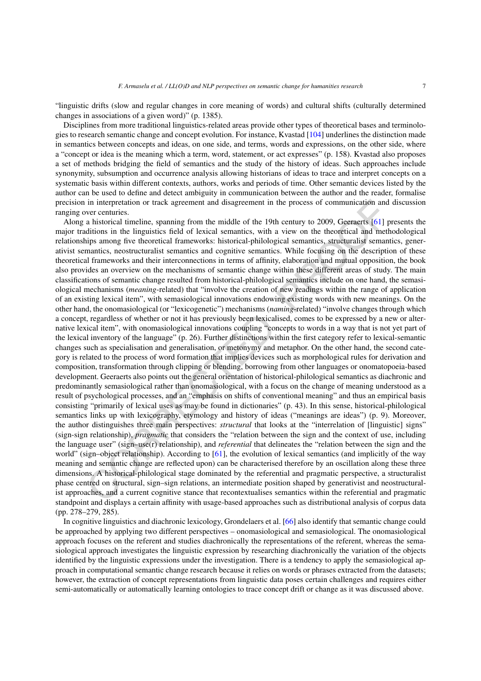"linguistic drifts (slow and regular changes in core meaning of words) and cultural shifts (culturally determined changes in associations of a given word)" (p. 1385).

Disciplines from more traditional linguistics-related areas provide other types of theoretical bases and terminologies to research semantic change and concept evolution. For instance, Kvastad [\[104](#page-25-2)] underlines the distinction made in semantics between concepts and ideas, on one side, and terms, words and expressions, on the other side, where a "concept or idea is the meaning which a term, word, statement, or act expresses" (p. 158). Kvastad also proposes a set of methods bridging the field of semantics and the study of the history of ideas. Such approaches include synonymity, subsumption and occurrence analysis allowing historians of ideas to trace and interpret concepts on a systematic basis within different contexts, authors, works and periods of time. Other semantic devices listed by the author can be used to define and detect ambiguity in communication between the author and the reader, formalise precision in interpretation or track agreement and disagreement in the process of communication and discussion ranging over centuries.

in interpretation or track agreement and disagreement in the process of communication and<br>a historical timeline, spanning from the middle of the 19th century to 2009, Gesenerts [61] prime in the linguistics field of lexic Along a historical timeline, spanning from the middle of the 19th century to 2009, Geeraerts [61] presents the major traditions in the linguistics field of lexical semantics, with a view on the theoretical and methodological relationships among five theoretical frameworks: historical-philological semantics, structuralist semantics, generativist semantics, neostructuralist semantics and cognitive semantics. While focusing on the description of these theoretical frameworks and their interconnections in terms of affinity, elaboration and mutual opposition, the book also provides an overview on the mechanisms of semantic change within these different areas of study. The main classifications of semantic change resulted from historical-philological semantics include on one hand, the semasiological mechanisms (*meaning*-related) that "involve the creation of new readings within the range of application of an existing lexical item", with semasiological innovations endowing existing words with new meanings. On the other hand, the onomasiological (or "lexicogenetic") mechanisms (*naming*-related) "involve changes through which a concept, regardless of whether or not it has previously been lexicalised, comes to be expressed by a new or alternative lexical item", with onomasiological innovations coupling "concepts to words in a way that is not yet part of the lexical inventory of the language" (p. 26). Further distinctions within the first category refer to lexical-semantic changes such as specialisation and generalisation, or metonymy and metaphor. On the other hand, the second category is related to the process of word formation that implies devices such as morphological rules for derivation and composition, transformation through clipping or blending, borrowing from other languages or onomatopoeia-based development. Geeraerts also points out the general orientation of historical-philological semantics as diachronic and predominantly semasiological rather than onomasiological, with a focus on the change of meaning understood as a result of psychological processes, and an "emphasis on shifts of conventional meaning" and thus an empirical basis consisting "primarily of lexical uses as may be found in dictionaries" (p. 43). In this sense, historical-philological semantics links up with lexicography, etymology and history of ideas ("meanings are ideas") (p. 9). Moreover, the author distinguishes three main perspectives: *structural* that looks at the "interrelation of [linguistic] signs" (sign-sign relationship), *pragmatic* that considers the "relation between the sign and the context of use, including the language user" (sign–use(r) relationship), and *referential* that delineates the "relation between the sign and the world" (sign–object relationship). According to [61], the evolution of lexical semantics (and implicitly of the way meaning and semantic change are reflected upon) can be characterised therefore by an oscillation along these three dimensions. A historical-philological stage dominated by the referential and pragmatic perspective, a structuralist phase centred on structural, sign–sign relations, an intermediate position shaped by generativist and neostructuralist approaches, and a current cognitive stance that recontextualises semantics within the referential and pragmatic standpoint and displays a certain affinity with usage-based approaches such as distributional analysis of corpus data (pp. 278–279, 285).

In cognitive linguistics and diachronic lexicology, Grondelaers et al. [[66\]](#page-24-5) also identify that semantic change could be approached by applying two different perspectives – onomasiological and semasiological. The onomasiological approach focuses on the referent and studies diachronically the representations of the referent, whereas the semasiological approach investigates the linguistic expression by researching diachronically the variation of the objects identified by the linguistic expressions under the investigation. There is a tendency to apply the semasiological approach in computational semantic change research because it relies on words or phrases extracted from the datasets; however, the extraction of concept representations from linguistic data poses certain challenges and requires either semi-automatically or automatically learning ontologies to trace concept drift or change as it was discussed above.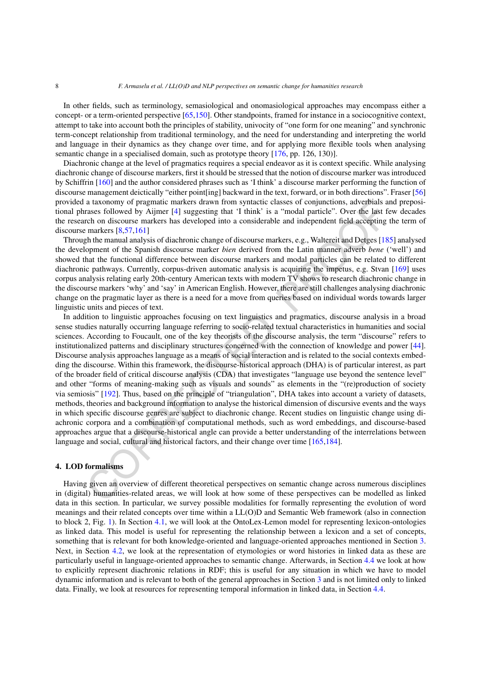In other fields, such as terminology, semasiological and onomasiological approaches may encompass either a concept- or a term-oriented perspective [\[65](#page-24-6)[,150\]](#page-27-2). Other standpoints, framed for instance in a sociocognitive context, attempt to take into account both the principles of stability, univocity of "one form for one meaning" and synchronic term-concept relationship from traditional terminology, and the need for understanding and interpreting the world and language in their dynamics as they change over time, and for applying more flexible tools when analysing semantic change in a specialised domain, such as prototype theory [[176,](#page-28-6) pp. 126, 130)].

Diachronic change at the level of pragmatics requires a special endeavor as it is context specific. While analysing diachronic change of discourse markers, first it should be stressed that the notion of discourse marker was introduced by Schiffrin [\[160](#page-27-3)] and the author considered phrases such as 'I think' a discourse marker performing the function of discourse management deictically "either point[ing] backward in the text, forward, or in both directions". Fraser [\[56](#page-24-7)] provided a taxonomy of pragmatic markers drawn from syntactic classes of conjunctions, adverbials and prepositional phrases followed by Aijmer [4] suggesting that 'I think' is a "modal particle". Over the last few decades the research on discourse markers has developed into a considerable and independent field accepting the term of discourse markers [8,57,161]

Through the manual analysis of diachronic change of discourse markers, e.g., Waltereit and Detges [[185\]](#page-28-7) analysed the development of the Spanish discourse marker *bien* derived from the Latin manner adverb *bene* ('well') and showed that the functional difference between discourse markers and modal particles can be related to different diachronic pathways. Currently, corpus-driven automatic analysis is acquiring the impetus, e.g. Stvan [[169\]](#page-28-8) uses corpus analysis relating early 20th-century American texts with modern TV shows to research diachronic change in the discourse markers 'why' and 'say' in American English. However, there are still challenges analysing diachronic change on the pragmatic layer as there is a need for a move from queries based on individual words towards larger linguistic units and pieces of text.

a taxonomy of pragmatic markers drawn from syntatic classes of conjunctions, adveytinals and say asses followed by Aijmer [4] suggesting that 1 think' is a "modal particle". Over the last field accepting markers has develo In addition to linguistic approaches focusing on text linguistics and pragmatics, discourse analysis in a broad sense studies naturally occurring language referring to socio-related textual characteristics in humanities and social sciences. According to Foucault, one of the key theorists of the discourse analysis, the term "discourse" refers to institutionalized patterns and disciplinary structures concerned with the connection of knowledge and power [[44\]](#page-23-4). Discourse analysis approaches language as a means of social interaction and is related to the social contexts embedding the discourse. Within this framework, the discourse-historical approach (DHA) is of particular interest, as part of the broader field of critical discourse analysis (CDA) that investigates "language use beyond the sentence level" and other "forms of meaning-making such as visuals and sounds" as elements in the "(re)production of society via semiosis" [192]. Thus, based on the principle of "triangulation", DHA takes into account a variety of datasets, methods, theories and background information to analyse the historical dimension of discursive events and the ways in which specific discourse genres are subject to diachronic change. Recent studies on linguistic change using diachronic corpora and a combination of computational methods, such as word embeddings, and discourse-based approaches argue that a discourse-historical angle can provide a better understanding of the interrelations between language and social, cultural and historical factors, and their change over time [165,184].

## <span id="page-7-0"></span>**4. LOD formalisms**

Having given an overview of different theoretical perspectives on semantic change across numerous disciplines in (digital) humanities-related areas, we will look at how some of these perspectives can be modelled as linked data in this section. In particular, we survey possible modalities for formally representing the evolution of word meanings and their related concepts over time within a LL(O)D and Semantic Web framework (also in connection to block 2, Fig. [1](#page-2-1)). In Section [4.1,](#page-8-0) we will look at the OntoLex-Lemon model for representing lexicon-ontologies as linked data. This model is useful for representing the relationship between a lexicon and a set of concepts, something that is relevant for both knowledge-oriented and language-oriented approaches mentioned in Section [3](#page-3-0). Next, in Section [4.2](#page-9-0), we look at the representation of etymologies or word histories in linked data as these are particularly useful in language-oriented approaches to semantic change. Afterwards, in Section [4.4](#page-10-1) we look at how to explicitly represent diachronic relations in RDF; this is useful for any situation in which we have to model dynamic information and is relevant to both of the general approaches in Section [3](#page-3-0) and is not limited only to linked data. Finally, we look at resources for representing temporal information in linked data, in Section [4.4](#page-10-1).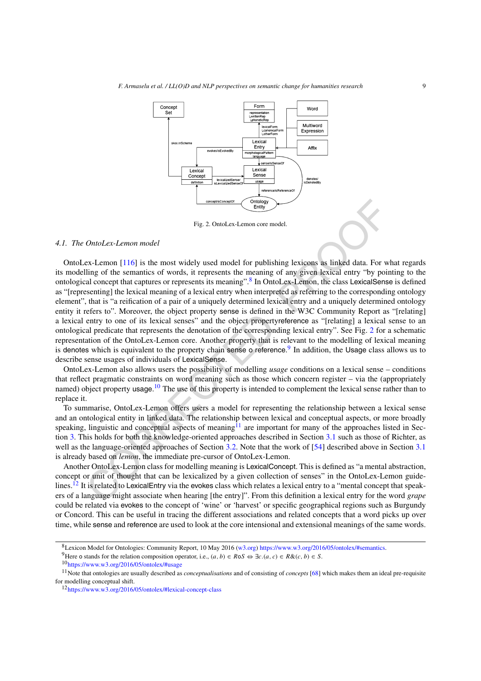

<span id="page-8-2"></span>Fig. 2. OntoLex-Lemon core model.

## <span id="page-8-0"></span>*4.1. The OntoLex-Lemon model*

**Example 1.1**<br>
Fig. 2. OmoLex-Lemon ence model.<br>
The action of the summarized control and the summarized of the summarized of the summarized of words, it represents the meaning of any given lexical entry "by point and con OntoLex-Lemon [116] is the most widely used model for publishing lexicons as linked data. For what regards its modelling of the semantics of words, it represents the meaning of any given lexical entry "by pointing to the ontological concept that captures or represents its meaning".8 In OntoLex-Lemon, the class LexicalSense is defined as "[representing] the lexical meaning of a lexical entry when interpreted as referring to the corresponding ontology element", that is "a reification of a pair of a uniquely determined lexical entry and a uniquely determined ontology entity it refers to". Moreover, the object property sense is defined in the W3C Community Report as "[relating] a lexical entry to one of its lexical senses" and the object propertyreference as "[relating] a lexical sense to an ontological predicate that represents the denotation of the corresponding lexical entry". See Fig. 2 for a schematic representation of the OntoLex-Lemon core. Another property that is relevant to the modelling of lexical meaning is denotes which is equivalent to the property chain sense o reference.<sup>9</sup> In addition, the Usage class allows us to describe sense usages of individuals of LexicalSense.

OntoLex-Lemon also allows users the possibility of modelling *usage* conditions on a lexical sense – conditions that reflect pragmatic constraints on word meaning such as those which concern register – via the (appropriately named) object property usage.<sup>10</sup> The use of this property is intended to complement the lexical sense rather than to replace it.

To summarise, OntoLex-Lemon offers users a model for representing the relationship between a lexical sense and an ontological entity in linked data. The relationship between lexical and conceptual aspects, or more broadly speaking, linguistic and conceptual aspects of meaning<sup>11</sup> are important for many of the approaches listed in Section [3.](#page-3-0) This holds for both the knowledge-oriented approaches described in Section 3.1 such as those of Richter, as well as the language-oriented approaches of Section 3.2. Note that the work of [54] described above in Section [3.1](#page-4-2) is already based on *lemon*, the immediate pre-cursor of OntoLex-Lemon.

Another OntoLex-Lemon class for modelling meaning is LexicalConcept. This is defined as "a mental abstraction, concept or unit of thought that can be lexicalized by a given collection of senses" in the OntoLex-Lemon guide-lines.<sup>[12](#page-8-6)</sup> It is related to LexicalEntry via the evokes class which relates a lexical entry to a "mental concept that speakers of a language might associate when hearing [the entry]". From this definition a lexical entry for the word *grape* could be related via evokes to the concept of 'wine' or 'harvest' or specific geographical regions such as Burgundy or Concord. This can be useful in tracing the different associations and related concepts that a word picks up over time, while sense and reference are used to look at the core intensional and extensional meanings of the same words.

<span id="page-8-1"></span><sup>8</sup>Lexicon Model for Ontologies: Community Report, 10 May 2016 [\(w3.org\)](http://w3.org) <https://www.w3.org/2016/05/ontolex/#semantics>.

<span id="page-8-3"></span><sup>&</sup>lt;sup>9</sup>Here o stands for the relation composition operator, i.e., *(a, b)* ∈ *R*o*S* ⇔ ∃*c*.*(a, c)* ∈ *R*&*(c, b)* ∈ *S*. <sup>10</sup><https://www.w3.org/2016/05/ontolex/#usage>

<span id="page-8-5"></span><span id="page-8-4"></span>

<sup>11</sup>Note that ontologies are usually described as *conceptualisations* and of consisting of *concepts* [[68\]](#page-24-9) which makes them an ideal pre-requisite for modelling conceptual shift.

<span id="page-8-6"></span><sup>12</sup><https://www.w3.org/2016/05/ontolex/#lexical-concept-class>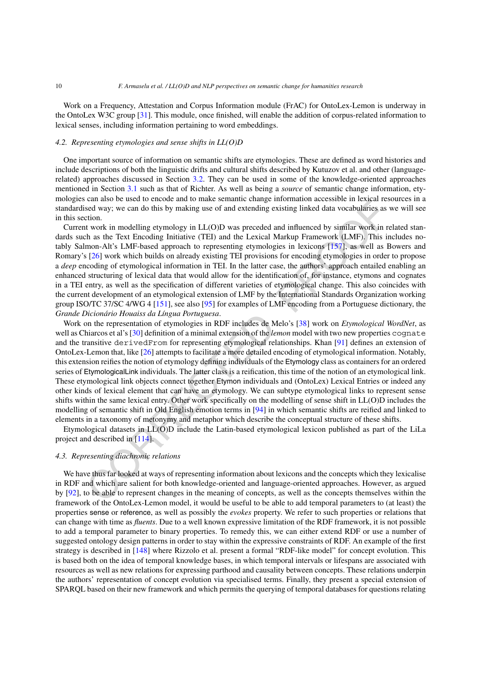Work on a Frequency, Attestation and Corpus Information module (FrAC) for OntoLex-Lemon is underway in the OntoLex W3C group [\[31](#page-23-5)]. This module, once finished, will enable the addition of corpus-related information to lexical senses, including information pertaining to word embeddings.

## <span id="page-9-0"></span>*4.2. Representing etymologies and sense shifts in LL(O)D*

One important source of information on semantic shifts are etymologies. These are defined as word histories and include descriptions of both the linguistic drifts and cultural shifts described by Kutuzov et al. and other (languagerelated) approaches discussed in Section [3.2](#page-5-2). They can be used in some of the knowledge-oriented approaches mentioned in Section [3.1](#page-4-2) such as that of Richter. As well as being a *source* of semantic change information, etymologies can also be used to encode and to make semantic change information accessible in lexical resources in a standardised way; we can do this by making use of and extending existing linked data vocabularies as we will see in this section.

Current work in modelling etymology in LL(O)D was preceded and influenced by similar work in related standards such as the Text Encoding Initiative (TEI) and the Lexical Markup Framework (LMF). This includes notably Salmon-Alt's LMF-based approach to representing etymologies in lexicons [157], as well as Bowers and Romary's [26] work which builds on already existing TEI provisions for encoding etymologies in order to propose a *deep* encoding of etymological information in TEI. In the latter case, the authors' approach entailed enabling an enhanced structuring of lexical data that would allow for the identification of, for instance, etymons and cognates in a TEI entry, as well as the specification of different varieties of etymological change. This also coincides with the current development of an etymological extension of LMF by the International Standards Organization working group ISO/TC 37/SC 4/WG 4 [151], see also [95] for examples of LMF encoding from a Portuguese dictionary, the *Grande Dicionário Houaiss da Língua Portuguesa*.

can associate to encode and o mask semante change imotional mecksions in exchange is<br>ed way; we can do this by making use of and extending existing linked data wocabulaties as<br>it work in modelling etymology in LL(O)D was Work on the representation of etymologies in RDF includes de Melo's [38] work on *Etymological WordNet*, as well as Chiarcos et al's [30] definition of a minimal extension of the *lemon* model with two new properties cognate and the transitive derivedFrom for representing etymological relationships. Khan [91] defines an extension of OntoLex-Lemon that, like [26] attempts to facilitate a more detailed encoding of etymological information. Notably, this extension reifies the notion of etymology defining individuals of the Etymology class as containers for an ordered series of EtymologicalLink individuals. The latter class is a reification, this time of the notion of an etymological link. These etymological link objects connect together Etymon individuals and (OntoLex) Lexical Entries or indeed any other kinds of lexical element that can have an etymology. We can subtype etymological links to represent sense shifts within the same lexical entry. Other work specifically on the modelling of sense shift in LL(O)D includes the modelling of semantic shift in Old English emotion terms in [94] in which semantic shifts are reified and linked to elements in a taxonomy of metonymy and metaphor which describe the conceptual structure of these shifts.

Etymological datasets in LL(O)D include the Latin-based etymological lexicon published as part of the LiLa project and described in [114].

# *4.3. Representing diachronic relations*

We have thus far looked at ways of representing information about lexicons and the concepts which they lexicalise in RDF and which are salient for both knowledge-oriented and language-oriented approaches. However, as argued by [\[92\]](#page-25-6), to be able to represent changes in the meaning of concepts, as well as the concepts themselves within the framework of the OntoLex-Lemon model, it would be useful to be able to add temporal parameters to (at least) the properties sense or reference, as well as possibly the *evokes* property. We refer to such properties or relations that can change with time as *fluents*. Due to a well known expressive limitation of the RDF framework, it is not possible to add a temporal parameter to binary properties. To remedy this, we can either extend RDF or use a number of suggested ontology design patterns in order to stay within the expressive constraints of RDF. An example of the first strategy is described in [\[148](#page-27-7)] where Rizzolo et al. present a formal "RDF-like model" for concept evolution. This is based both on the idea of temporal knowledge bases, in which temporal intervals or lifespans are associated with resources as well as new relations for expressing parthood and causality between concepts. These relations underpin the authors' representation of concept evolution via specialised terms. Finally, they present a special extension of SPARQL based on their new framework and which permits the querying of temporal databases for questions relating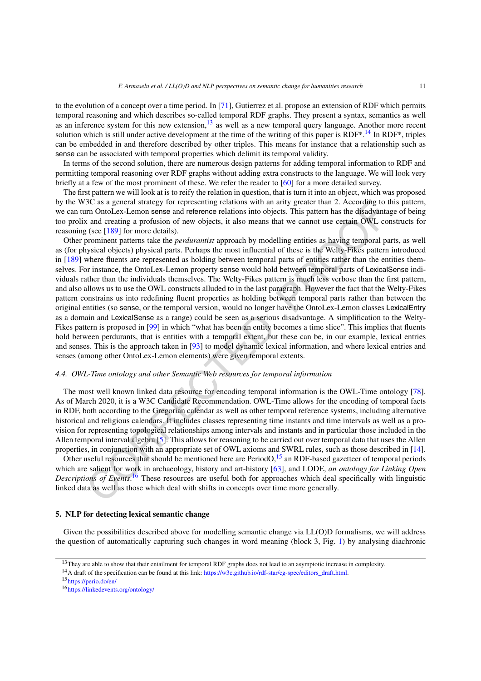to the evolution of a concept over a time period. In [\[71](#page-24-10)], Gutierrez et al. propose an extension of RDF which permits temporal reasoning and which describes so-called temporal RDF graphs. They present a syntax, semantics as well as an inference system for this new extension.<sup>[13](#page-10-2)</sup> as well as a new temporal query language. Another more recent solution which is still under active development at the time of the writing of this paper is RDF\*.<sup>14</sup> In RDF\*, triples can be embedded in and therefore described by other triples. This means for instance that a relationship such as sense can be associated with temporal properties which delimit its temporal validity.

In terms of the second solution, there are numerous design patterns for adding temporal information to RDF and permitting temporal reasoning over RDF graphs without adding extra constructs to the language. We will look very briefly at a few of the most prominent of these. We refer the reader to [\[60](#page-24-11)] for a more detailed survey.

The first pattern we will look at is to reify the relation in question, that is turn it into an object, which was proposed by the W3C as a general strategy for representing relations with an arity greater than 2. According to this pattern, we can turn OntoLex-Lemon sense and reference relations into objects. This pattern has the disadvantage of being too prolix and creating a profusion of new objects, it also means that we cannot use certain OWL constructs for reasoning (see [189] for more details).

3C as a general strategy for representing relations with an arity greater than 2. According to 1.3C as a general strategy for representing computers and creating a profusion of new objects. This patent has the effsadyanta Other prominent patterns take the *perdurantist* approach by modelling entities as having temporal parts, as well as (for physical objects) physical parts. Perhaps the most influential of these is the Welty-Fikes pattern introduced in [[189\]](#page-28-11) where fluents are represented as holding between temporal parts of entities rather than the entities themselves. For instance, the OntoLex-Lemon property sense would hold between temporal parts of LexicalSense individuals rather than the individuals themselves. The Welty-Fikes pattern is much less verbose than the first pattern, and also allows us to use the OWL constructs alluded to in the last paragraph. However the fact that the Welty-Fikes pattern constrains us into redefining fluent properties as holding between temporal parts rather than between the original entities (so sense, or the temporal version, would no longer have the OntoLex-Lemon classes LexicalEntry as a domain and LexicalSense as a range) could be seen as a serious disadvantage. A simplification to the Welty-Fikes pattern is proposed in [99] in which "what has been an entity becomes a time slice". This implies that fluents hold between perdurants, that is entities with a temporal extent, but these can be, in our example, lexical entries and senses. This is the approach taken in [93] to model dynamic lexical information, and where lexical entries and senses (among other OntoLex-Lemon elements) were given temporal extents.

## <span id="page-10-1"></span>*4.4. OWL-Time ontology and other Semantic Web resources for temporal information*

The most well known linked data resource for encoding temporal information is the OWL-Time ontology [\[78\]](#page-24-12). As of March 2020, it is a W3C Candidate Recommendation. OWL-Time allows for the encoding of temporal facts in RDF, both according to the Gregorian calendar as well as other temporal reference systems, including alternative historical and religious calendars. It includes classes representing time instants and time intervals as well as a provision for representing topological relationships among intervals and instants and in particular those included in the Allen temporal interval algebra  $[5]$ . This allows for reasoning to be carried out over temporal data that uses the Allen properties, in conjunction with an appropriate set of OWL axioms and SWRL rules, such as those described in [[14\]](#page-22-6).

Other useful resources that should be mentioned here are PeriodO, $15$  an RDF-based gazetteer of temporal periods which are salient for work in archaeology, history and art-history [63], and LODE, *an ontology for Linking Open Descriptions of Events*. <sup>16</sup> These resources are useful both for approaches which deal specifically with linguistic linked data as well as those which deal with shifts in concepts over time more generally.

## <span id="page-10-0"></span>**5. NLP for detecting lexical semantic change**

Given the possibilities described above for modelling semantic change via LL(O)D formalisms, we will address the question of automatically capturing such changes in word meaning (block 3, Fig. [1](#page-2-1)) by analysing diachronic

<span id="page-10-2"></span><sup>&</sup>lt;sup>13</sup>They are able to show that their entailment for temporal RDF graphs does not lead to an asymptotic increase in complexity.

<span id="page-10-3"></span><sup>14</sup>A draft of the specification can be found at this link: [https://w3c.github.io/rdf-star/cg-spec/editors\\_draft.html](https://w3c.github.io/rdf-star/cg-spec/editors_draft.html).

<span id="page-10-4"></span><sup>15</sup><https://perio.do/en/>

<span id="page-10-5"></span><sup>16</sup><https://linkedevents.org/ontology/>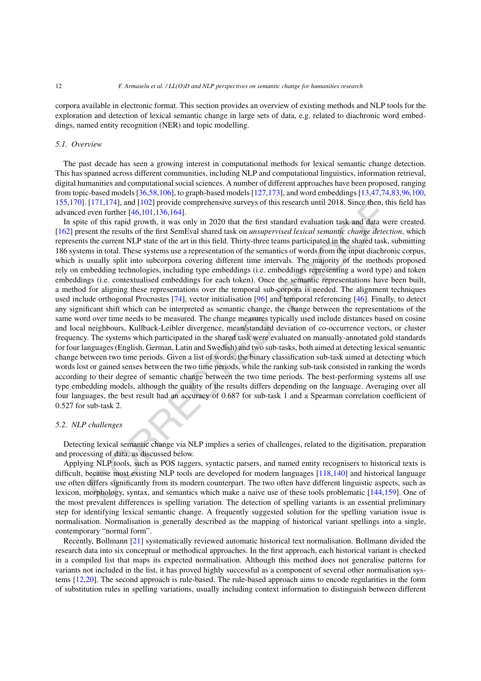corpora available in electronic format. This section provides an overview of existing methods and NLP tools for the exploration and detection of lexical semantic change in large sets of data, e.g. related to diachronic word embeddings, named entity recognition (NER) and topic modelling.

## *5.1. Overview*

The past decade has seen a growing interest in computational methods for lexical semantic change detection. This has spanned across different communities, including NLP and computational linguistics, information retrieval, digital humanities and computationalsocial sciences. A number of different approaches have been proposed, ranging from topic-based models  $[36,58,106]$  $[36,58,106]$  $[36,58,106]$  $[36,58,106]$  $[36,58,106]$ , to graph-based models  $[127,173]$  $[127,173]$  $[127,173]$ , and word embeddings  $[13,47,74,83,96,100]$  $[13,47,74,83,96,100]$  $[13,47,74,83,96,100]$  $[13,47,74,83,96,100]$  $[13,47,74,83,96,100]$  $[13,47,74,83,96,100]$  $[13,47,74,83,96,100]$  $[13,47,74,83,96,100]$  $[13,47,74,83,96,100]$ [155](#page-27-8),[170\]](#page-28-13). [171,174], and [102] provide comprehensive surveys of this research until 2018. Since then, this field has advanced even further [46,101,136,164].

[171,1],4], and [1002] provide comprehensive surveys of this research until 2018. Since then, the event from the production and the state and the set of this rapid growth, it was only in 2020 that the first standard evalu In spite of this rapid growth, it was only in 2020 that the first standard evaluation task and data were created. [[162\]](#page-27-0) present the results of the first SemEval shared task on *unsupervised lexical semantic change detection*, which represents the current NLP state of the art in this field. Thirty-three teams participated in the shared task, submitting 186 systems in total. These systems use a representation of the semantics of words from the input diachronic corpus, which is usually split into subcorpora covering different time intervals. The majority of the methods proposed rely on embedding technologies, including type embeddings (i.e. embeddings representing a word type) and token embeddings (i.e. contextualised embeddings for each token). Once the semantic representations have been built, a method for aligning these representations over the temporal sub-corpora is needed. The alignment techniques used include orthogonal Procrustes [74], vector initialisation [96] and temporal referencing [46]. Finally, to detect any significant shift which can be interpreted as semantic change, the change between the representations of the same word over time needs to be measured. The change measures typically used include distances based on cosine and local neighbours, Kullback-Leibler divergence, mean/standard deviation of co-occurrence vectors, or cluster frequency. The systems which participated in the shared task were evaluated on manually-annotated gold standards for four languages(English, German, Latin and Swedish) and two sub-tasks, both aimed at detecting lexicalsemantic change between two time periods. Given a list of words, the binary classification sub-task aimed at detecting which words lost or gained senses between the two time periods, while the ranking sub-task consisted in ranking the words according to their degree of semantic change between the two time periods. The best-performing systems all use type embedding models, although the quality of the results differs depending on the language. Averaging over all four languages, the best result had an accuracy of 0.687 for sub-task 1 and a Spearman correlation coefficient of 0.527 for sub-task 2.

## *5.2. NLP challenges*

Detecting lexical semantic change via NLP implies a series of challenges, related to the digitisation, preparation and processing of data, as discussed below.

Applying NLP tools, such as POS taggers, syntactic parsers, and named entity recognisers to historical texts is difficult, because most existing NLP tools are developed for modern languages [118,140] and historical language use often differs significantly from its modern counterpart. The two often have different linguistic aspects, such as lexicon, morphology, syntax, and semantics which make a naive use of these tools problematic [144[,159](#page-27-12)]. One of the most prevalent differences is spelling variation. The detection of spelling variants is an essential preliminary step for identifying lexical semantic change. A frequently suggested solution for the spelling variation issue is normalisation. Normalisation is generally described as the mapping of historical variant spellings into a single, contemporary "normal form".

Recently, Bollmann [\[21](#page-22-8)] systematically reviewed automatic historical text normalisation. Bollmann divided the research data into six conceptual or methodical approaches. In the first approach, each historical variant is checked in a compiled list that maps its expected normalisation. Although this method does not generalise patterns for variants not included in the list, it has proved highly successful as a component of several other normalisation systems [\[12](#page-22-9)[,20](#page-22-10)]. The second approach is rule-based. The rule-based approach aims to encode regularities in the form of substitution rules in spelling variations, usually including context information to distinguish between different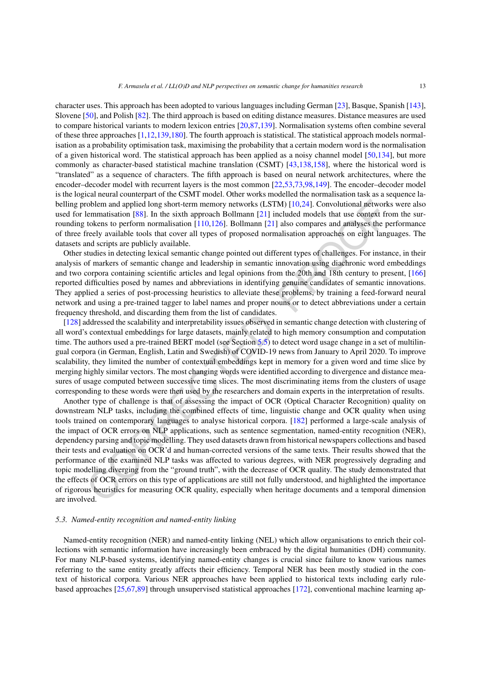character uses. This approach has been adopted to various languages including German [\[23](#page-22-11)], Basque, Spanish [\[143\]](#page-27-13), Slovene [[50\]](#page-23-11), and Polish [[82\]](#page-24-16). The third approach is based on editing distance measures. Distance measures are used to compare historical variants to modern lexicon entries [[20](#page-22-10)[,87](#page-25-13),[139\]](#page-27-14). Normalisation systems often combine several of these three approaches [[1](#page-22-12)[,12](#page-22-9),[139](#page-27-14)[,180](#page-28-14)]. The fourth approach is statistical. The statistical approach models normalisation as a probability optimisation task, maximising the probability that a certain modern word is the normalisation of a given historical word. The statistical approach has been applied as a noisy channel model [\[50,](#page-23-11)[134](#page-26-9)], but more commonly as character-based statistical machine translation (CSMT) [\[43](#page-23-12),[138](#page-27-15)[,158\]](#page-27-16), where the historical word is "translated" as a sequence of characters. The fifth approach is based on neural network architectures, where the encoder–decoder model with recurrent layers is the most common [\[22](#page-22-13),[53](#page-23-13)[,73](#page-24-17),[98](#page-25-14)[,149\]](#page-27-17). The encoder–decoder model is the logical neural counterpart of the CSMT model. Other works modelled the normalisation task as a sequence labelling problem and applied long short-term memory networks (LSTM) [10,24]. Convolutional networks were also used for lemmatisation [88]. In the sixth approach Bollmann [21] included models that use context from the surrounding tokens to perform normalisation [110,126]. Bollmann [21] also compares and analyses the performance of three freely available tools that cover all types of proposed normalisation approaches on eight languages. The datasets and scripts are publicly available.

Other studies in detecting lexical semantic change pointed out different types of challenges. For instance, in their analysis of markers of semantic change and leadership in semantic innovation using diachronic word embeddings and two corpora containing scientific articles and legal opinions from the 20th and 18th century to present, [\[166](#page-28-15)] reported difficulties posed by names and abbreviations in identifying genuine candidates of semantic innovations. They applied a series of post-processing heuristics to alleviate these problems, by training a feed-forward neural network and using a pre-trained tagger to label names and proper nouns or to detect abbreviations under a certain frequency threshold, and discarding them from the list of candidates.

[[128\]](#page-26-11) addressed the scalability and interpretability issues observed in semantic change detection with clustering of all word's contextual embeddings for large datasets, mainly related to high memory consumption and computation time. The authors used a pre-trained BERT model (see Section 5.5) to detect word usage change in a set of multilingual corpora (in German, English, Latin and Swedish) of COVID-19 news from January to April 2020. To improve scalability, they limited the number of contextual embeddings kept in memory for a given word and time slice by merging highly similar vectors. The most changing words were identified according to divergence and distance measures of usage computed between successive time slices. The most discriminating items from the clusters of usage corresponding to these words were then used by the researchers and domain experts in the interpretation of results.

roblem and applied long short-term memory networks (LSTM) [10.24]. Convolutional network<br>lemmantasation [88]. In the sixth a pproach Bollmann [21] included models that use context free<br>lockars to perform normalisation [110 Another type of challenge is that of assessing the impact of OCR (Optical Character Recognition) quality on downstream NLP tasks, including the combined effects of time, linguistic change and OCR quality when using tools trained on contemporary languages to analyse historical corpora. [182] performed a large-scale analysis of the impact of OCR errors on NLP applications, such as sentence segmentation, named-entity recognition (NER), dependency parsing and topic modelling. They used datasets drawn from historical newspapers collections and based their tests and evaluation on OCR'd and human-corrected versions of the same texts. Their results showed that the performance of the examined NLP tasks was affected to various degrees, with NER progressively degrading and topic modelling diverging from the "ground truth", with the decrease of OCR quality. The study demonstrated that the effects of OCR errors on this type of applications are still not fully understood, and highlighted the importance of rigorous heuristics for measuring OCR quality, especially when heritage documents and a temporal dimension are involved.

#### *5.3. Named-entity recognition and named-entity linking*

Named-entity recognition (NER) and named-entity linking (NEL) which allow organisations to enrich their collections with semantic information have increasingly been embraced by the digital humanities (DH) community. For many NLP-based systems, identifying named-entity changes is crucial since failure to know various names referring to the same entity greatly affects their efficiency. Temporal NER has been mostly studied in the context of historical corpora. Various NER approaches have been applied to historical texts including early rulebased approaches [\[25,](#page-22-16)[67](#page-24-18),[89\]](#page-25-17) through unsupervised statistical approaches [\[172](#page-28-17)], conventional machine learning ap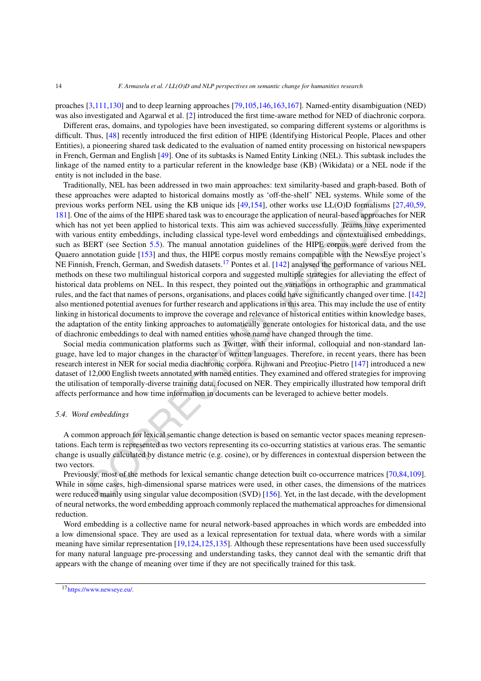proaches [[3,](#page-22-17)[111](#page-26-12),[130\]](#page-26-13) and to deep learning approaches [[79](#page-24-19)[,105](#page-25-18),[146](#page-27-18)[,163,](#page-27-19)[167](#page-28-18)]. Named-entity disambiguation (NED) was also investigated and Agarwal et al. [\[2\]](#page-22-18) introduced the first time-aware method for NED of diachronic corpora.

Different eras, domains, and typologies have been investigated, so comparing different systems or algorithms is difficult. Thus, [\[48](#page-23-14)] recently introduced the first edition of HIPE (Identifying Historical People, Places and other Entities), a pioneering shared task dedicated to the evaluation of named entity processing on historical newspapers in French, German and English [[49\]](#page-23-15). One of its subtasks is Named Entity Linking (NEL). This subtask includes the linkage of the named entity to a particular referent in the knowledge base (KB) (Wikidata) or a NEL node if the entity is not included in the base.

works perform NEL using the KB unique ids [49,154], other works use LL(O)D formalisms<br>of the dims of the HIPE shared task was to encourge the application of neural-based approach<br>so for the anims of the HIPE characted act Traditionally, NEL has been addressed in two main approaches: text similarity-based and graph-based. Both of these approaches were adapted to historical domains mostly as 'off-the-shelf' NEL systems. While some of the previous works perform NEL using the KB unique ids [49,154], other works use LL(O)D formalisms [\[27](#page-22-19),[40](#page-23-16)[,59](#page-24-20), [181](#page-28-19)]. One of the aims of the HIPE shared task was to encourage the application of neural-based approaches for NER which has not yet been applied to historical texts. This aim was achieved successfully. Teams have experimented with various entity embeddings, including classical type-level word embeddings and contextualised embeddings, such as BERT (see Section 5.5). The manual annotation guidelines of the HIPE corpus were derived from the Quaero annotation guide [153] and thus, the HIPE corpus mostly remains compatible with the NewsEye project's NE Finnish, French, German, and Swedish datasets.<sup>17</sup> Pontes et al. [142] analysed the performance of various NEL methods on these two multilingual historical corpora and suggested multiple strategies for alleviating the effect of historical data problems on NEL. In this respect, they pointed out the variations in orthographic and grammatical rules, and the fact that names of persons, organisations, and places could have significantly changed over time. [\[142](#page-27-22)] also mentioned potential avenues for further research and applications in this area. This may include the use of entity linking in historical documents to improve the coverage and relevance of historical entities within knowledge bases, the adaptation of the entity linking approaches to automatically generate ontologies for historical data, and the use of diachronic embeddings to deal with named entities whose name have changed through the time.

Social media communication platforms such as Twitter, with their informal, colloquial and non-standard language, have led to major changes in the character of written languages. Therefore, in recent years, there has been research interest in NER for social media diachronic corpora. Rijhwani and Preoțiuc-Pietro [147] introduced a new dataset of 12,000 English tweets annotated with named entities. They examined and offered strategies for improving the utilisation of temporally-diverse training data, focused on NER. They empirically illustrated how temporal drift affects performance and how time information in documents can be leveraged to achieve better models.

## <span id="page-13-1"></span>*5.4. Word embeddings*

A common approach for lexical semantic change detection is based on semantic vector spaces meaning representations. Each term is represented as two vectors representing its co-occurring statistics at various eras. The semantic change is usually calculated by distance metric (e.g. cosine), or by differences in contextual dispersion between the two vectors.

Previously, most of the methods for lexical semantic change detection built co-occurrence matrices [\[70](#page-24-21)[,84](#page-24-22)[,109](#page-25-19)]. While in some cases, high-dimensional sparse matrices were used, in other cases, the dimensions of the matrices were reduced mainly using singular value decomposition (SVD) [156]. Yet, in the last decade, with the development of neural networks, the word embedding approach commonly replaced the mathematical approachesfor dimensional reduction.

Word embedding is a collective name for neural network-based approaches in which words are embedded into a low dimensional space. They are used as a lexical representation for textual data, where words with a similar meaning have similar representation [\[19,](#page-22-20)[124](#page-26-14),[125,](#page-26-15)[135](#page-26-16)]. Although these representations have been used successfully for many natural language pre-processing and understanding tasks, they cannot deal with the semantic drift that appears with the change of meaning over time if they are not specifically trained for this task.

<span id="page-13-0"></span><sup>17</sup><https://www.newseye.eu/>.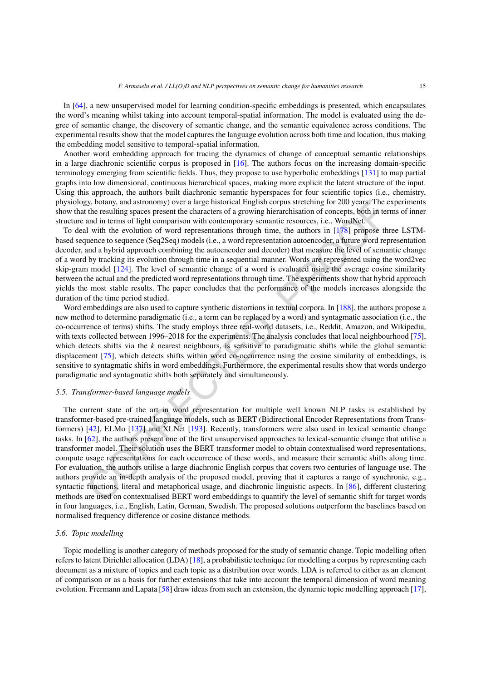In [[64\]](#page-24-23), a new unsupervised model for learning condition-specific embeddings is presented, which encapsulates the word's meaning whilst taking into account temporal-spatial information. The model is evaluated using the degree of semantic change, the discovery of semantic change, and the semantic equivalence across conditions. The experimental results show that the model captures the language evolution across both time and location, thus making the embedding model sensitive to temporal-spatial information.

Another word embedding approach for tracing the dynamics of change of conceptual semantic relationships in a large diachronic scientific corpus is proposed in [\[16](#page-22-21)]. The authors focus on the increasing domain-specific terminology emerging from scientific fields. Thus, they propose to use hyperbolic embeddings [\[131](#page-26-17)] to map partial graphs into low dimensional, continuous hierarchical spaces, making more explicit the latent structure of the input. Using this approach, the authors built diachronic semantic hyperspaces for four scientific topics (i.e., chemistry, physiology, botany, and astronomy) over a large historical English corpus stretching for 200 years. The experiments show that the resulting spaces present the characters of a growing hierarchisation of concepts, both in terms of inner structure and in terms of light comparison with contemporary semantic resources, i.e., WordNet.

To deal with the evolution of word representations through time, the authors in [178] propose three LSTMbased sequence to sequence (Seq2Seq) models (i.e., a word representation autoencoder, a future word representation decoder, and a hybrid approach combining the autoencoder and decoder) that measure the level of semantic change of a word by tracking its evolution through time in a sequential manner. Words are represented using the word2vec skip-gram model [124]. The level of semantic change of a word is evaluated using the average cosine similarity between the actual and the predicted word representations through time. The experiments show that hybrid approach yields the most stable results. The paper concludes that the performance of the models increases alongside the duration of the time period studied.

Word embeddings are also used to capture synthetic distortions in textual corpora. In [188], the authors propose a new method to determine paradigmatic (i.e., a term can be replaced by a word) and syntagmatic association (i.e., the co-occurrence of terms) shifts. The study employs three real-world datasets, i.e., Reddit, Amazon, and Wikipedia, with texts collected between 1996–2018 for the experiments. The analysis concludes that local neighbourhood [\[75](#page-24-24)], which detects shifts via the *k* nearest neighbours, is sensitive to paradigmatic shifts while the global semantic displacement [75], which detects shifts within word co-occurrence using the cosine similarity of embeddings, is sensitive to syntagmatic shifts in word embeddings. Furthermore, the experimental results show that words undergo paradigmatic and syntagmatic shifts both separately and simultaneously.

#### <span id="page-14-0"></span>*5.5. Transformer-based language models*

y, botany, and astronomy) over all age historical English corpus stretching for 200 years. The customing and a memos of the meanling spaces present the characters of a growing hierarchitsation of concepts, both in terms o The current state of the art in word representation for multiple well known NLP tasks is established by transformer-based pre-trained language models, such as BERT (Bidirectional Encoder Representations from Transformers) [42], ELMo [137] and XLNet [193]. Recently, transformers were also used in lexical semantic change tasks. In [62], the authors present one of the first unsupervised approaches to lexical-semantic change that utilise a transformer model. Their solution uses the BERT transformer model to obtain contextualised word representations, compute usage representations for each occurrence of these words, and measure their semantic shifts along time. For evaluation, the authors utilise a large diachronic English corpus that covers two centuries of language use. The authors provide an in-depth analysis of the proposed model, proving that it captures a range of synchronic, e.g., syntactic functions, literal and metaphorical usage, and diachronic linguistic aspects. In [86], different clustering methods are used on contextualised BERT word embeddings to quantify the level of semantic shift for target words in four languages, i.e., English, Latin, German, Swedish. The proposed solutions outperform the baselines based on normalised frequency difference or cosine distance methods.

#### *5.6. Topic modelling*

Topic modelling is another category of methods proposed for the study of semantic change. Topic modelling often refers to latent Dirichlet allocation (LDA) [[18\]](#page-22-22), a probabilistic technique for modelling a corpus by representing each document as a mixture of topics and each topic as a distribution over words. LDA is referred to either as an element of comparison or as a basis for further extensions that take into account the temporal dimension of word meaning evolution. Frermann and Lapata [[58\]](#page-24-14) draw ideas from such an extension, the dynamic topic modelling approach [\[17](#page-22-23)],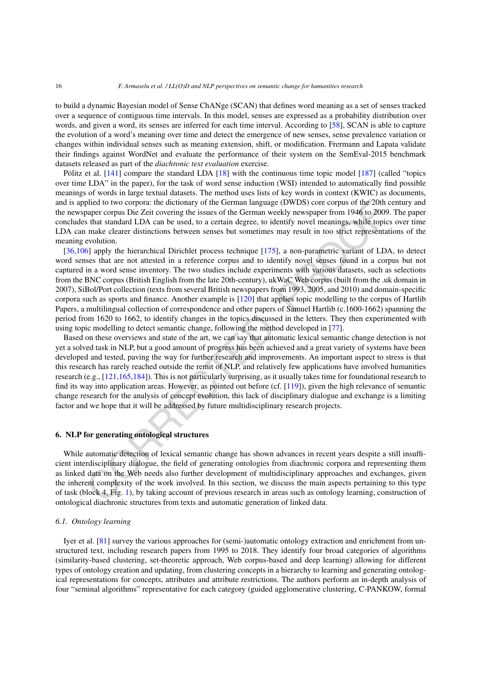to build a dynamic Bayesian model of Sense ChANge (SCAN) that defines word meaning as a set of senses tracked over a sequence of contiguous time intervals. In this model, senses are expressed as a probability distribution over words, and given a word, its senses are inferred for each time interval. According to [[58\]](#page-24-14), SCAN is able to capture the evolution of a word's meaning over time and detect the emergence of new senses, sense prevalence variation or changes within individual senses such as meaning extension, shift, or modification. Frermann and Lapata validate their findings against WordNet and evaluate the performance of their system on the SemEval-2015 benchmark datasets released as part of the *diachronic text evaluation* exercise.

Pölitz et al. [[141\]](#page-27-26) compare the standard LDA [\[18](#page-22-22)] with the continuous time topic model [\[187](#page-28-22)] (called "topics over time LDA" in the paper), for the task of word sense induction (WSI) intended to automatically find possible meanings of words in large textual datasets. The method uses lists of key words in context (KWIC) as documents, and is applied to two corpora: the dictionary of the German language (DWDS) core corpus of the 20th century and the newspaper corpus Die Zeit covering the issues of the German weekly newspaper from 1946 to 2009. The paper concludes that standard LDA can be used, to a certain degree, to identify novel meanings, while topics over time LDA can make clearer distinctions between senses but sometimes may result in too strict representations of the meaning evolution.

plied to two corpora: the dictionary of the Greman language (DWDS) core copus of the 20th<br>and to two corporations between the states of the Greman weekly newspaper from 1946 to 2009<br>share trough is interded to a certain de [[36](#page-23-8)[,106](#page-25-9)] apply the hierarchical Dirichlet process technique [175], a non-parametric variant of LDA, to detect word senses that are not attested in a reference corpus and to identify novel senses found in a corpus but not captured in a word sense inventory. The two studies include experiments with various datasets, such as selections from the BNC corpus (British English from the late 20th-century), ukWaC Web corpus (built from the .uk domain in 2007), SiBol/Port collection (texts from several British newspapers from 1993, 2005, and 2010) and domain-specific corpora such as sports and finance. Another example is [120] that applies topic modelling to the corpus of Hartlib Papers, a multilingual collection of correspondence and other papers of Samuel Hartlib (c.1600-1662) spanning the period from 1620 to 1662, to identify changes in the topics discussed in the letters. They then experimented with using topic modelling to detect semantic change, following the method developed in [77].

Based on these overviews and state of the art, we can say that automatic lexical semantic change detection is not yet a solved task in NLP, but a good amount of progress has been achieved and a great variety of systems have been developed and tested, paving the way for further research and improvements. An important aspect to stress is that this research has rarely reached outside the remit of NLP, and relatively few applications have involved humanities research (e.g., [121,165,184]). This is not particularly surprising, as it usually takes time for foundational research to find its way into application areas. However, as pointed out before (cf.  $[119]$ ), given the high relevance of semantic change research for the analysis of concept evolution, this lack of disciplinary dialogue and exchange is a limiting factor and we hope that it will be addressed by future multidisciplinary research projects.

#### <span id="page-15-0"></span>**6. NLP for generating ontological structures**

While automatic detection of lexical semantic change has shown advances in recent years despite a still insufficient interdisciplinary dialogue, the field of generating ontologies from diachronic corpora and representing them as linked data on the Web needs also further development of multidisciplinary approaches and exchanges, given the inherent complexity of the work involved. In this section, we discuss the main aspects pertaining to this type of task (block 4, Fig. 1), by taking account of previous research in areas such as ontology learning, construction of ontological diachronic structures from texts and automatic generation of linked data.

#### *6.1. Ontology learning*

Iyer et al. [[81\]](#page-24-27) survey the various approaches for (semi-)automatic ontology extraction and enrichment from unstructured text, including research papers from 1995 to 2018. They identify four broad categories of algorithms (similarity-based clustering, set-theoretic approach, Web corpus-based and deep learning) allowing for different types of ontology creation and updating, from clustering concepts in a hierarchy to learning and generating ontological representations for concepts, attributes and attribute restrictions. The authors perform an in-depth analysis of four "seminal algorithms" representative for each category (guided agglomerative clustering, C-PANKOW, formal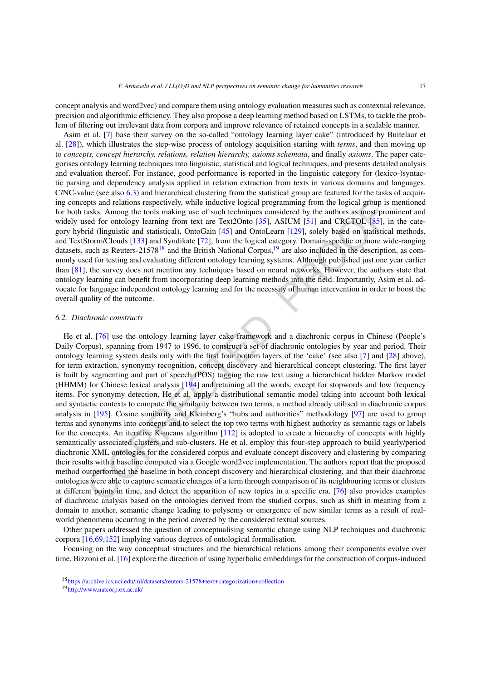concept analysis and word2vec) and compare them using ontology evaluation measures such as contextual relevance, precision and algorithmic efficiency. They also propose a deep learning method based on LSTMs, to tackle the problem of filtering out irrelevant data from corpora and improve relevance of retained concepts in a scalable manner.

Asim et al. [\[7](#page-22-24)] base their survey on the so-called "ontology learning layer cake" (introduced by Buitelaar et al. [[28\]](#page-22-25)), which illustrates the step-wise process of ontology acquisition starting with *terms*, and then moving up to *concepts, concept hierarchy, relations, relation hierarchy, axioms schemata*, and finally *axioms*. The paper categorises ontology learning techniques into linguistic, statistical and logical techniques, and presents detailed analysis and evaluation thereof. For instance, good performance is reported in the linguistic category for (lexico-)syntactic parsing and dependency analysis applied in relation extraction from texts in various domains and languages. C/NC-value (see also [6.3\)](#page-17-0) and hierarchical clustering from the statistical group are featured for the tasks of acquiring concepts and relations respectively, while inductive logical programming from the logical group is mentioned for both tasks. Among the tools making use of such techniques considered by the authors as most prominent and widely used for ontology learning from text are Text2Onto [35], ASIUM [51] and CRCTOL [85], in the category hybrid (linguistic and statistical), OntoGain [45] and OntoLearn [129], solely based on statistical methods, and TextStorm/Clouds [133] and Syndikate [72], from the logical category. Domain-specific or more wide-ranging datasets, such as Reuters-21578<sup>18</sup> and the British National Corpus,<sup>19</sup> are also included in the description, as commonly used for testing and evaluating different ontology learning systems. Although published just one year earlier than [\[81](#page-24-27)], the survey does not mention any techniques based on neural networks. However, the authors state that ontology learning can benefit from incorporating deep learning methods into the field. Importantly, Asim et al. advocate for language independent ontology learning and for the necessity of human intervention in order to boost the overall quality of the outcome.

#### *6.2. Diachronic constructs*

epts and relations respectively, white inductive logical programming from the logical group is<br>susks. Among the tools making use of such techniques considered by the authors as most pro<br>ead for ontology learning from text He et al. [76] use the ontology learning layer cake framework and a diachronic corpus in Chinese (People's Daily Corpus), spanning from 1947 to 1996, to construct a set of diachronic ontologies by year and period. Their ontology learning system deals only with the first four bottom layers of the 'cake' (see also [7] and [\[28\]](#page-22-25) above), for term extraction, synonymy recognition, concept discovery and hierarchical concept clustering. The first layer is built by segmenting and part of speech (POS) tagging the raw text using a hierarchical hidden Markov model (HHMM) for Chinese lexical analysis [194] and retaining all the words, except for stopwords and low frequency items. For synonymy detection, He et al. apply a distributional semantic model taking into account both lexical and syntactic contexts to compute the similarity between two terms, a method already utilised in diachronic corpus analysis in [195]. Cosine similarity and Kleinberg's "hubs and authorities" methodology [97] are used to group terms and synonyms into concepts and to select the top two terms with highest authority as semantic tags or labels for the concepts. An iterative K-means algorithm [112] is adopted to create a hierarchy of concepts with highly semantically associated clusters and sub-clusters. He et al. employ this four-step approach to build yearly/period diachronic XML ontologies for the considered corpus and evaluate concept discovery and clustering by comparing their results with a baseline computed via a Google word2vec implementation. The authors report that the proposed method outperformed the baseline in both concept discovery and hierarchical clustering, and that their diachronic ontologies were able to capture semantic changes of a term through comparison of its neighbouring terms or clusters at different points in time, and detect the apparition of new topics in a specific era. [76] also provides examples of diachronic analysis based on the ontologies derived from the studied corpus, such as shift in meaning from a domain to another, semantic change leading to polysemy or emergence of new similar terms as a result of realworld phenomena occurring in the period covered by the considered textual sources.

Other papers addressed the question of conceptualising semantic change using NLP techniques and diachronic corpora [[16](#page-22-21)[,69](#page-24-29),[152\]](#page-27-27) implying various degrees of ontological formalisation.

Focusing on the way conceptual structures and the hierarchical relations among their components evolve over time, Bizzoni et al. [\[16](#page-22-21)] explore the direction of using hyperbolic embeddings for the construction of corpus-induced

<span id="page-16-0"></span><sup>18</sup><https://archive.ics.uci.edu/ml/datasets/reuters-21578+text+categorization+collection>

<span id="page-16-1"></span><sup>19</sup><http://www.natcorp.ox.ac.uk/>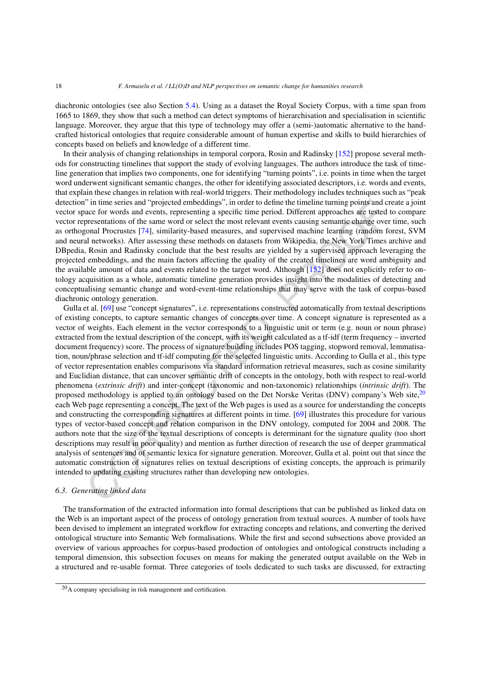diachronic ontologies (see also Section [5.4\)](#page-13-1). Using as a dataset the Royal Society Corpus, with a time span from 1665 to 1869, they show that such a method can detect symptoms of hierarchisation and specialisation in scientific language. Moreover, they argue that this type of technology may offer a (semi-)automatic alternative to the handcrafted historical ontologies that require considerable amount of human expertise and skills to build hierarchies of concepts based on beliefs and knowledge of a different time.

In their analysis of changing relationships in temporal corpora, Rosin and Radinsky [\[152](#page-27-27)] propose several methods for constructing timelines that support the study of evolving languages. The authors introduce the task of timeline generation that implies two components, one for identifying "turning points", i.e. points in time when the target word underwent significant semantic changes, the other for identifying associated descriptors, i.e. words and events, that explain these changes in relation with real-world triggers. Their methodology includes techniques such as "peak detection" in time series and "projected embeddings", in order to define the timeline turning points and create a joint vector space for words and events, representing a specific time period. Different approaches are tested to compare vector representations of the same word or select the most relevant events causing semantic change over time, such as orthogonal Procrustes [74], similarity-based measures, and supervised machine learning (random forest, SVM and neural networks). After assessing these methods on datasets from Wikipedia, the New York Times archive and DBpedia, Rosin and Radinsky conclude that the best results are yielded by a supervised approach leveraging the projected embeddings, and the main factors affecting the quality of the created timelines are word ambiguity and the available amount of data and events related to the target word. Although [152] does not explicitly refer to ontology acquisition as a whole, automatic timeline generation provides insight into the modalities of detecting and conceptualising semantic change and word-event-time relationships that may serve with the task of corpus-based diachronic ontology generation.

" in time series and "projected embeddings", in order to define the timeline turning points and constrations of the same word or select the most relevant events causing semantic change over a care for words and events, [2 Gulla et al. [69] use "concept signatures", i.e. representations constructed automatically from textual descriptions of existing concepts, to capture semantic changes of concepts over time. A concept signature is represented as a vector of weights. Each element in the vector corresponds to a linguistic unit or term (e.g. noun or noun phrase) extracted from the textual description of the concept, with its weight calculated as a tf-idf (term frequency – inverted document frequency) score. The process of signature building includes POS tagging, stopword removal, lemmatisation, noun/phrase selection and tf-idf computing for the selected linguistic units. According to Gulla et al., this type of vector representation enables comparisons via standard information retrieval measures, such as cosine similarity and Euclidian distance, that can uncover semantic drift of concepts in the ontology, both with respect to real-world phenomena (*extrinsic drift*) and inter-concept (taxonomic and non-taxonomic) relationships (*intrinsic drift*). The proposed methodology is applied to an ontology based on the Det Norske Veritas (DNV) company's Web site,<sup>[20](#page-17-1)</sup> each Web page representing a concept. The text of the Web pages is used as a source for understanding the concepts and constructing the corresponding signatures at different points in time. [69] illustrates this procedure for various types of vector-based concept and relation comparison in the DNV ontology, computed for 2004 and 2008. The authors note that the size of the textual descriptions of concepts is determinant for the signature quality (too short descriptions may result in poor quality) and mention as further direction of research the use of deeper grammatical analysis of sentences and of semantic lexica for signature generation. Moreover, Gulla et al. point out that since the automatic construction of signatures relies on textual descriptions of existing concepts, the approach is primarily intended to updating existing structures rather than developing new ontologies.

# <span id="page-17-0"></span>*6.3. Generating linked data*

The transformation of the extracted information into formal descriptions that can be published as linked data on the Web is an important aspect of the process of ontology generation from textual sources. A number of tools have been devised to implement an integrated workflow for extracting concepts and relations, and converting the derived ontological structure into Semantic Web formalisations. While the first and second subsections above provided an overview of various approaches for corpus-based production of ontologies and ontological constructs including a temporal dimension, this subsection focuses on means for making the generated output available on the Web in a structured and re-usable format. Three categories of tools dedicated to such tasks are discussed, for extracting

<span id="page-17-1"></span><sup>20</sup>A company specialising in risk management and certification.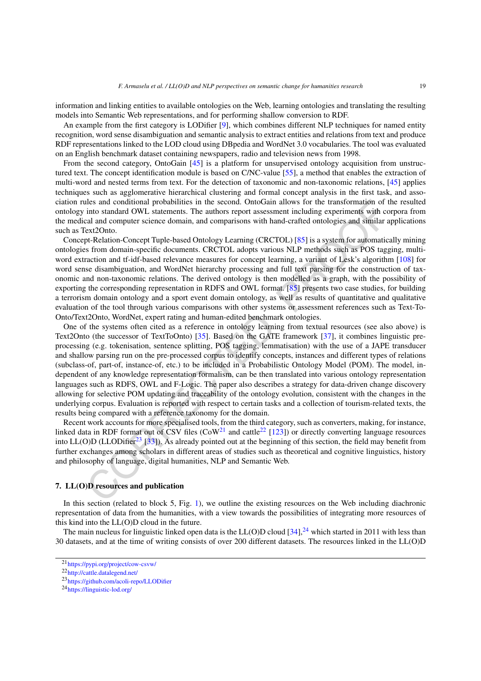information and linking entities to available ontologies on the Web, learning ontologies and translating the resulting models into Semantic Web representations, and for performing shallow conversion to RDF.

An example from the first category is LODifier [\[9](#page-22-26)], which combines different NLP techniques for named entity recognition, word sense disambiguation and semantic analysis to extract entities and relations from text and produce RDF representations linked to the LOD cloud using DBpedia and WordNet 3.0 vocabularies. The tool was evaluated on an English benchmark dataset containing newspapers, radio and television news from 1998.

From the second category, OntoGain [[45\]](#page-23-20) is a platform for unsupervised ontology acquisition from unstructured text. The concept identification module is based on C/NC-value [[55\]](#page-24-30), a method that enables the extraction of multi-word and nested terms from text. For the detection of taxonomic and non-taxonomic relations, [\[45](#page-23-20)] applies techniques such as agglomerative hierarchical clustering and formal concept analysis in the first task, and association rules and conditional probabilities in the second. OntoGain allows for the transformation of the resulted ontology into standard OWL statements. The authors report assessment including experiments with corpora from the medical and computer science domain, and comparisons with hand-crafted ontologies and similar applications such as Text2Onto.

Concept-Relation-Concept Tuple-based Ontology Learning (CRCTOL) [85] is a system for automatically mining ontologies from domain-specific documents. CRCTOL adopts various NLP methods such as POS tagging, multiword extraction and tf-idf-based relevance measures for concept learning, a variant of Lesk's algorithm [[108\]](#page-25-23) for word sense disambiguation, and WordNet hierarchy processing and full text parsing for the construction of taxonomic and non-taxonomic relations. The derived ontology is then modelled as a graph, with the possibility of exporting the corresponding representation in RDFS and OWL format. [85] presents two case studies, for building a terrorism domain ontology and a sport event domain ontology, as well as results of quantitative and qualitative evaluation of the tool through various comparisons with other systems or assessment references such as Text-To-Onto/Text2Onto, WordNet, expert rating and human-edited benchmark ontologies.

ies and conditional probabilities in the second. [O](#page-18-3)ntoGain allows for the transformation of the<br>into standard OWL statements. The authors report assessment including experiments with cent<br>and computer science domain, and co One of the systems often cited as a reference in ontology learning from textual resources (see also above) is Text2Onto (the successor of TextToOnto) [35]. Based on the GATE framework [37], it combines linguistic preprocessing (e.g. tokenisation, sentence splitting, POS tagging, lemmatisation) with the use of a JAPE transducer and shallow parsing run on the pre-processed corpus to identify concepts, instances and different types of relations (subclass-of, part-of, instance-of, etc.) to be included in a Probabilistic Ontology Model (POM). The model, independent of any knowledge representation formalism, can be then translated into various ontology representation languages such as RDFS, OWL and F-Logic. The paper also describes a strategy for data-driven change discovery allowing for selective POM updating and traceability of the ontology evolution, consistent with the changes in the underlying corpus. Evaluation is reported with respect to certain tasks and a collection of tourism-related texts, the results being compared with a reference taxonomy for the domain.

Recent work accounts for more specialised tools, from the third category, such as converters, making, for instance, linked data in RDF format out of CSV files  $(CoW<sup>21</sup>$  and cattle<sup>22</sup> [123]) or directly converting language resources into LL(O)D (LLODifier<sup>23</sup> [33]). As already pointed out at the beginning of this section, the field may benefit from further exchanges among scholars in different areas of studies such as theoretical and cognitive linguistics, history and philosophy of language, digital humanities, NLP and Semantic Web.

# <span id="page-18-0"></span>**7. LL(O)D resources and publication**

In this section (related to block 5, Fig. 1), we outline the existing resources on the Web including diachronic representation of data from the humanities, with a view towards the possibilities of integrating more resources of this kind into the LL(O)D cloud in the future.

The main nucleus for linguistic linked open data is the LL(O)D cloud  $[34]$ ,<sup>24</sup> which started in 2011 with less than 30 datasets, and at the time of writing consists of over 200 different datasets. The resources linked in the LL(O)D

<span id="page-18-1"></span><sup>21</sup><https://pypi.org/project/cow-csvw/>

<span id="page-18-2"></span><sup>22</sup><http://cattle.datalegend.net/>

<span id="page-18-3"></span><sup>23</sup><https://github.com/acoli-repo/LLODifier>

<span id="page-18-4"></span><sup>24</sup><https://linguistic-lod.org/>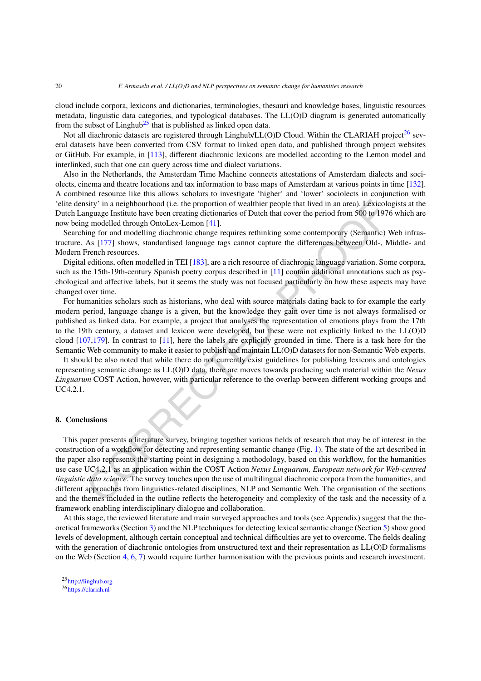cloud include corpora, lexicons and dictionaries, terminologies, thesauri and knowledge bases, linguistic resources metadata, linguistic data categories, and typological databases. The LL(O)D diagram is generated automatically from the subset of Linghub<sup>25</sup> that is published as linked open data.

Not all diachronic datasets are registered through Linghub/LL(O)D Cloud. Within the CLARIAH project<sup>[26](#page-19-2)</sup> several datasets have been converted from CSV format to linked open data, and published through project websites or GitHub. For example, in [[113\]](#page-26-24), different diachronic lexicons are modelled according to the Lemon model and interlinked, such that one can query across time and dialect variations.

Also in the Netherlands, the Amsterdam Time Machine connects attestations of Amsterdam dialects and sociolects, cinema and theatre locations and tax information to base maps of Amsterdam at various points in time [\[132\]](#page-26-25). A combined resource like this allows scholars to investigate 'higher' and 'lower' sociolects in conjunction with 'elite density' in a neighbourhood (i.e. the proportion of wealthier people that lived in an area). Lexicologists at the Dutch Language Institute have been creating dictionaries of Dutch that cover the period from 500 to 1976 which are now being modelled through OntoLex-Lemon [41].

Searching for and modelling diachronic change requires rethinking some contemporary (Semantic) Web infrastructure. As [177] shows, standardised language tags cannot capture the differences between Old-, Middle- and Modern French resources.

Digital editions, often modelled in TEI [183], are a rich resource of diachronic language variation. Some corpora, such as the 15th-19th-century Spanish poetry corpus described in [11] contain additional annotations such as psychological and affective labels, but it seems the study was not focused particularly on how these aspects may have changed over time.

For humanities scholars such as historians, who deal with source materials dating back to for example the early modern period, language change is a given, but the knowledge they gain over time is not always formalised or published as linked data. For example, a project that analyses the representation of emotions plays from the 17th to the 19th century, a dataset and lexicon were developed, but these were not explicitly linked to the LL(O)D cloud [\[107](#page-25-24),179]. In contrast to [11], here the labels are explicitly grounded in time. There is a task here for the Semantic Web community to make it easier to publish and maintain LL(O)D datasets for non-Semantic Web experts.

It should be also noted that while there do not currently exist guidelines for publishing lexicons and ontologies representing semantic change as LL(O)D data, there are moves towards producing such material within the *Nexus Linguarum* COST Action, however, with particular reference to the overlap between different working groups and UC4.2.1.

# <span id="page-19-0"></span>**8. Conclusions**

sity 'in a neighbourhood (i.e. the proportion of wealthier people that lived in an area). Lexicolog<br>graped institute have been creating dictionaries of Dutch that cover the period from 500 to 1976<br>graped institute have bee This paper presents a literature survey, bringing together various fields of research that may be of interest in the construction of a workflow for detecting and representing semantic change (Fig. 1). The state of the art described in the paper also represents the starting point in designing a methodology, based on this workflow, for the humanities use case UC4.2.1 as an application within the COST Action *Nexus Linguarum, European network for Web-centred linguistic data science*. The survey touches upon the use of multilingual diachronic corpora from the humanities, and different approaches from linguistics-related disciplines, NLP and Semantic Web. The organisation of the sections and the themes included in the outline reflects the heterogeneity and complexity of the task and the necessity of a framework enabling interdisciplinary dialogue and collaboration.

At this stage, the reviewed literature and main surveyed approaches and tools (see Appendix) suggest that the the-oretical frameworks (Section [3\)](#page-3-0) and the NLP techniques for detecting lexical semantic change (Section [5\)](#page-10-0) show good levels of development, although certain conceptual and technical difficulties are yet to overcome. The fields dealing with the generation of diachronic ontologies from unstructured text and their representation as LL(O)D formalisms on the Web (Section [4,](#page-7-0) [6,](#page-15-0) [7\)](#page-18-0) would require further harmonisation with the previous points and research investment.

<span id="page-19-1"></span><sup>25</sup><http://linghub.org>

<span id="page-19-2"></span><sup>26</sup><https://clariah.nl>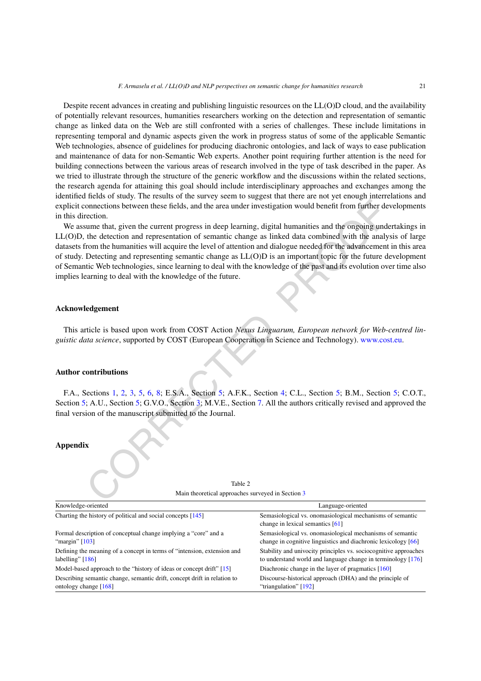Despite recent advances in creating and publishing linguistic resources on the LL(O)D cloud, and the availability of potentially relevant resources, humanities researchers working on the detection and representation of semantic change as linked data on the Web are still confronted with a series of challenges. These include limitations in representing temporal and dynamic aspects given the work in progress status of some of the applicable Semantic Web technologies, absence of guidelines for producing diachronic ontologies, and lack of ways to ease publication and maintenance of data for non-Semantic Web experts. Another point requiring further attention is the need for building connections between the various areas of research involved in the type of task described in the paper. As we tried to illustrate through the structure of the generic workflow and the discussions within the related sections, the research agenda for attaining this goal should include interdisciplinary approaches and exchanges among the identified fields of study. The results of the survey seem to suggest that there are not yet enough interrelations and explicit connections between these fields, and the area under investigation would benefit from further developments in this direction.

continues the series fields, and the area under investigation would benefit from further deported to the sum term in the area under investigation would benefit from further depremential due on the detection and representat We assume that, given the current progress in deep learning, digital humanities and the ongoing undertakings in LL(O)D, the detection and representation of semantic change as linked data combined with the analysis of large datasets from the humanities will acquire the level of attention and dialogue needed for the advancement in this area of study. Detecting and representing semantic change as LL(O)D is an important topic for the future development of Semantic Web technologies, since learning to deal with the knowledge of the past and its evolution over time also implies learning to deal with the knowledge of the future.

## **Acknowledgement**

This article is based upon work from COST Action *Nexus Linguarum, European network for Web-centred linguistic data science*, supported by COST (European Cooperation in Science and Technology). [www.cost.eu](http://www.cost.eu).

## **Author contributions**

F.A., Sections 1, 2, 3, 5, 6, 8; E.S.A., Section 5; A.F.K., Section 4; C.L., Section 5; B.M., Section [5](#page-10-0); C.O.T., Section [5;](#page-10-0) A.U., Section 5; G.V.O., Section 3; M.V.E., Section 7. All the authors critically revised and approved the final version of the manuscript submitted to the Journal.

## **Appendix**

| Main theoretical approaches surveyed in Section 5                                                   |                                                                                                                                    |  |  |  |
|-----------------------------------------------------------------------------------------------------|------------------------------------------------------------------------------------------------------------------------------------|--|--|--|
| Knowledge-oriented                                                                                  | Language-oriented                                                                                                                  |  |  |  |
| Charting the history of political and social concepts [145]                                         | Semasiological vs. onomasiological mechanisms of semantic<br>change in lexical semantics [61]                                      |  |  |  |
| Formal description of conceptual change implying a "core" and a<br>"margin" $[103]$                 | Semasiological vs. onomasiological mechanisms of semantic<br>change in cognitive linguistics and diachronic lexicology [66]        |  |  |  |
| Defining the meaning of a concept in terms of "intension, extension and<br>labelling" $[186]$       | Stability and univocity principles vs. sociocognitive approaches<br>to understand world and language change in terminology $[176]$ |  |  |  |
| Model-based approach to the "history of ideas or concept drift" [15]                                | Diachronic change in the layer of pragmatics $[160]$                                                                               |  |  |  |
| Describing semantic change, semantic drift, concept drift in relation to<br>ontology change $[168]$ | Discourse-historical approach (DHA) and the principle of<br>"triangulation" [192]                                                  |  |  |  |

| Table 2                                           |  |  |  |  |
|---------------------------------------------------|--|--|--|--|
| Main theoretical approaches surveyed in Section 3 |  |  |  |  |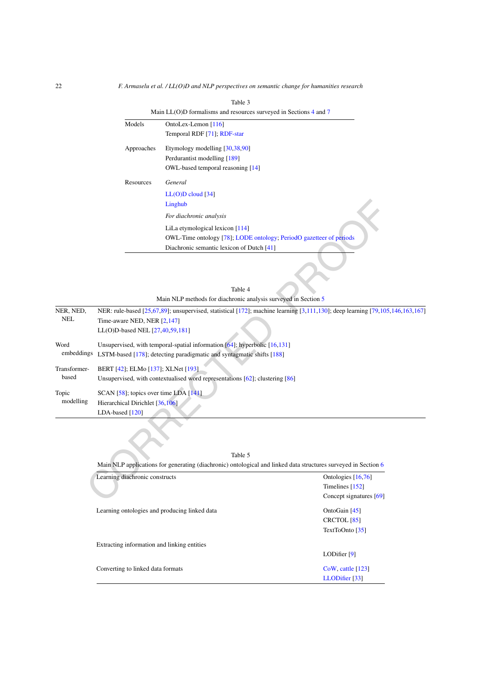22 *F. Armaselu et al. / LL(O)D and NLP perspectives on semantic change for humanities research*

| Main LL(O)D formalisms and resources surveyed in Sections $4$ and $7$ |
|-----------------------------------------------------------------------|
| OntoLex-Lemon $[116]$                                                 |
| Temporal RDF [71]; RDF-star                                           |
| Etymology modelling $[30,38,90]$                                      |
| Perdurantist modelling [189]                                          |
| OWL-based temporal reasoning [14]                                     |
| General                                                               |
| $LL(O)D$ cloud [34]                                                   |
| Linghub                                                               |
| For diachronic analysis                                               |
| LiLa etymological lexicon [114]                                       |
| OWL-Time ontology [78]; LODE ontology; PeriodO gazetteer of periods   |
| Diachronic semantic lexicon of Dutch [41]                             |
|                                                                       |

|                         | Linghub                                                                                                                                                                                         |  |  |
|-------------------------|-------------------------------------------------------------------------------------------------------------------------------------------------------------------------------------------------|--|--|
|                         | For diachronic analysis                                                                                                                                                                         |  |  |
|                         | LiLa etymological lexicon [114]                                                                                                                                                                 |  |  |
|                         | OWL-Time ontology [78]; LODE ontology; PeriodO gazetteer of periods                                                                                                                             |  |  |
|                         | Diachronic semantic lexicon of Dutch [41]                                                                                                                                                       |  |  |
|                         | Table 4                                                                                                                                                                                         |  |  |
|                         | Main NLP methods for diachronic analysis surveyed in Section 5                                                                                                                                  |  |  |
| NER, NED,<br><b>NEL</b> | NER: rule-based [25,67,89]; unsupervised, statistical [172]; machine learning [3,111,130]; deep learning [79,105,146,163,167]<br>Time-aware NED, NER [2,147]<br>LL(O)D-based NEL [27,40,59,181] |  |  |
| Word<br>embeddings      | Unsupervised, with temporal-spatial information $[64]$ ; hyperbolic $[16, 131]$<br>LSTM-based [178]; detecting paradigmatic and syntagmatic shifts [188]                                        |  |  |
| Transformer-<br>based   | BERT [42]; ELMo [137]; XLNet [193]<br>Unsupervised, with contextualised word representations [62]; clustering [86]                                                                              |  |  |
| Topic<br>modelling      | SCAN [58]; topics over time LDA [141]<br>Hierarchical Dirichlet [36,106]<br>LDA-based [120]                                                                                                     |  |  |
|                         | Table 5<br>Main NLP applications for generating (diachronic) ontological and linked data structures surveyed in Section 6                                                                       |  |  |
|                         | Learning diachronic constructs<br>Ontologies [16,76]                                                                                                                                            |  |  |
|                         | Timelines [152]                                                                                                                                                                                 |  |  |
|                         | Concept signatures [69]                                                                                                                                                                         |  |  |

| Table 5                                                                                                        |                           |  |  |
|----------------------------------------------------------------------------------------------------------------|---------------------------|--|--|
| Main NLP applications for generating (diachronic) ontological and linked data structures surveyed in Section 6 |                           |  |  |
| Learning diachronic constructs                                                                                 | Ontologies $[16,76]$      |  |  |
|                                                                                                                | Timelines $[152]$         |  |  |
|                                                                                                                | Concept signatures $[69]$ |  |  |
| Learning ontologies and producing linked data                                                                  | OntoGain [45]             |  |  |
|                                                                                                                | CRCTOL <sub>[85]</sub>    |  |  |
|                                                                                                                | TextToOnto [35]           |  |  |
| Extracting information and linking entities                                                                    |                           |  |  |
|                                                                                                                | LODifier [9]              |  |  |
| Converting to linked data formats                                                                              | $C0W$ , cattle [123]      |  |  |
|                                                                                                                | LLODifier [33]            |  |  |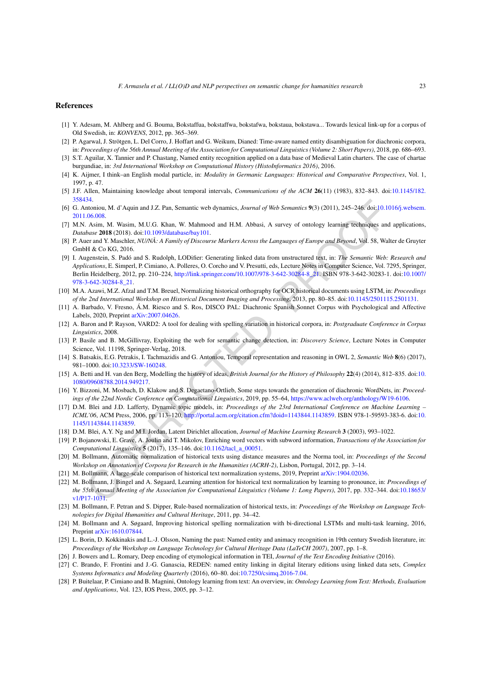#### **References**

- <span id="page-22-12"></span>[1] Y. Adesam, M. Ahlberg and G. Bouma, Bokstaffua, bokstaffwa, bokstafwa, bokstaua, bokstawa... Towards lexical link-up for a corpus of Old Swedish, in: *KONVENS*, 2012, pp. 365–369.
- <span id="page-22-18"></span>[2] P. Agarwal, J. Strötgen, L. Del Corro, J. Hoffart and G. Weikum, Dianed: Time-aware named entity disambiguation for diachronic corpora, in: Proceedings of the 56th Annual Meeting of the Association for Computational Linguistics (Volume 2: Short Papers), 2018, pp. 686–693.
- <span id="page-22-17"></span>[3] S.T. Aguilar, X. Tannier and P. Chastang, Named entity recognition applied on a data base of Medieval Latin charters. The case of chartae burgundiae, in: *3rd International Workshop on Computational History (HistoInformatics 2016)*, 2016.
- <span id="page-22-2"></span>[4] K. Aijmer, I think–an English modal particle, in: *Modality in Germanic Languages: Historical and Comparative Perspectives*, Vol. 1, 1997, p. 47.
- <span id="page-22-5"></span>[5] J.F. Allen, Maintaining knowledge about temporal intervals, *Communications of the ACM* **26**(11) (1983), 832–843. doi:[10.1145/182.](https://doi.org/10.1145/182.358434) [358434.](https://doi.org/10.1145/182.358434)
- <span id="page-22-1"></span>[6] G. Antoniou, M. d'Aquin and J.Z. Pan, Semantic web dynamics, *Journal of Web Semantics* **9**(3) (2011), 245–246. doi[:10.1016/j.websem.](https://doi.org/10.1016/j.websem.2011.06.008) [2011.06.008.](https://doi.org/10.1016/j.websem.2011.06.008)
- <span id="page-22-24"></span>[7] M.N. Asim, M. Wasim, M.U.G. Khan, W. Mahmood and H.M. Abbasi, A survey of ontology learning techniques and applications, *Database* **2018** (2018). doi:10.1093/database/bay101.
- <span id="page-22-26"></span><span id="page-22-3"></span>[8] P. Auer and Y. Maschler, NU/NÅ: A Family of Discourse Markers Across the Languages of Europe and Beyond, Vol. 58, Walter de Gruyter GmbH & Co KG, 2016.
- 34.<br>
26. Co[R](https://doi.org/10.1145/1143844.1143859)S.<br>
COROR[E](http://portal.acm.org/citation.cfm?doid=1143844.1143859)T (Union and J.Z. Pan, Semantic web dynamics, Journal of Web Semantics (3(3) (2011), 245-2466 doi:10.10.<br>
20.008.<br>
20.008.<br>
20.008.<br>
20.008.<br>
20.008.<br>
20.008.<br>
20.008.<br>
20.008.<br>
In Washim, M.U.G. Khan [9] I. Augenstein, S. Padó and S. Rudolph, LODifier: Generating linked data from unstructured text, in: *The Semantic Web: Research and Applications*, E. Simperl, P. Cimiano, A. Polleres, O. Corcho and V. Presutti, eds, Lecture Notes in Computer Science, Vol. 7295, Springer, Berlin Heidelberg, 2012, pp. 210–224, http://link.springer.com/10.1007/978-3-642-30284-8\_21. ISBN 978-3-642-30283-1. doi:[10.1007/](https://doi.org/10.1007/978-3-642-30284-8_21) 978-3-642-30284-8\_21.
- <span id="page-22-14"></span>[10] M.A. Azawi, M.Z. Afzal and T.M. Breuel, Normalizing historical orthography for OCR historical documents using LSTM, in: *Proceedings of the 2nd International Workshop on Historical Document Imaging and Processing*, 2013, pp. 80–85. doi[:10.1145/2501115.2501131.](https://doi.org/10.1145/2501115.2501131)
- <span id="page-22-27"></span>[11] A. Barbado, V. Fresno, Á.M. Riesco and S. Ros, DISCO PAL: Diachronic Spanish Sonnet Corpus with Psychological and Affective Labels, 2020, Preprint arXiv:2007.04626.
- <span id="page-22-9"></span>[12] A. Baron and P. Rayson, VARD2: A tool for dealing with spelling variation in historical corpora, in: *Postgraduate Conference in Corpus Linguistics*, 2008.
- <span id="page-22-7"></span>[13] P. Basile and B. McGillivray, Exploiting the web for semantic change detection, in: *Discovery Science*, Lecture Notes in Computer Science, Vol. 11198, Springer-Verlag, 2018.
- <span id="page-22-6"></span>[14] S. Batsakis, E.G. Petrakis, I. Tachmazidis and G. Antoniou, Temporal representation and reasoning in OWL 2, *Semantic Web* **8**(6) (2017), 981–1000. doi:10.3233/SW-160248.
- <span id="page-22-0"></span>[15] A. Betti and H. van den Berg, Modelling the history of ideas, *British Journal for the History of Philosophy* **22**(4) (2014), 812–835. doi:[10.](https://doi.org/10.1080/09608788.2014.949217) 1080/09608788.2014.949217.
- <span id="page-22-21"></span>[16] Y. Bizzoni, M. Mosbach, D. Klakow and S. Degaetano-Ortlieb, Some steps towards the generation of diachronic WordNets, in: *Proceedings of the 22nd Nordic Conference on Computational Linguistics*, 2019, pp. 55–64, [https://www.aclweb.org/anthology/W19-6106.](https://www.aclweb.org/anthology/W19-6106)
- <span id="page-22-23"></span>[17] D.M. Blei and J.D. Lafferty, Dynamic topic models, in: *Proceedings of the 23rd International Conference on Machine Learning – ICML'06*, ACM Press, 2006, pp. 113–120, http://portal.acm.org/citation.cfm?doid=1143844.1143859. ISBN 978-1-59593-383-6. doi:[10.](https://doi.org/10.1145/1143844.1143859) 1145/1143844.1143859.
- <span id="page-22-22"></span>[18] D.M. Blei, A.Y. Ng and M.I. Jordan, Latent Dirichlet allocation, *Journal of Machine Learning Research* **3** (2003), 993–1022.
- <span id="page-22-20"></span>[19] P. Bojanowski, E. Grave, A. Joulin and T. Mikolov, Enriching word vectors with subword information, *Transactions of the Association for Computational Linguistics* **5** (2017), 135–146. doi:10.1162/tacl\_a\_00051.
- <span id="page-22-10"></span>[20] M. Bollmann, Automatic normalization of historical texts using distance measures and the Norma tool, in: *Proceedings of the Second Workshop on Annotation of Corpora for Research in the Humanities (ACRH-2)*, Lisbon, Portugal, 2012, pp. 3–14.
- <span id="page-22-8"></span>[21] M. Bollmann, A large-scale comparison of historical text normalization systems, 2019, Preprint arXiv:1904.02036.
- <span id="page-22-13"></span>[22] M. Bollmann, J. Bingel and A. Søgaard, Learning attention for historical text normalization by learning to pronounce, in: *Proceedings of* the 55th Annual Meeting of the Association for Computational Linguistics (Volume 1: Long Papers), 2017, pp. 332-344. doi:[10.18653/](https://doi.org/10.18653/v1/P17-1031) [v1/P17-1031.](https://doi.org/10.18653/v1/P17-1031)
- <span id="page-22-11"></span>[23] M. Bollmann, F. Petran and S. Dipper, Rule-based normalization of historical texts, in: *Proceedings of the Workshop on Language Technologies for Digital Humanities and Cultural Heritage*, 2011, pp. 34–42.
- <span id="page-22-15"></span>[24] M. Bollmann and A. Søgaard, Improving historical spelling normalization with bi-directional LSTMs and multi-task learning, 2016, Preprint [arXiv:1610.07844](http://arxiv.org/abs/arXiv:1610.07844).
- <span id="page-22-16"></span>[25] L. Borin, D. Kokkinakis and L.-J. Olsson, Naming the past: Named entity and animacy recognition in 19th century Swedish literature, in: *Proceedings of the Workshop on Language Technology for Cultural Heritage Data (LaTeCH 2007)*, 2007, pp. 1–8.
- <span id="page-22-4"></span>[26] J. Bowers and L. Romary, Deep encoding of etymological information in TEI, *Journal of the Text Encoding Initiative* (2016).
- <span id="page-22-19"></span>[27] C. Brando, F. Frontini and J.-G. Ganascia, REDEN: named entity linking in digital literary editions using linked data sets, *Complex Systems Informatics and Modeling Quarterly* (2016), 60–80. doi[:10.7250/csimq.2016-7.04.](https://doi.org/10.7250/csimq.2016-7.04)
- <span id="page-22-25"></span>[28] P. Buitelaar, P. Cimiano and B. Magnini, Ontology learning from text: An overview, in: *Ontology Learning from Text: Methods, Evaluation and Applications*, Vol. 123, IOS Press, 2005, pp. 3–12.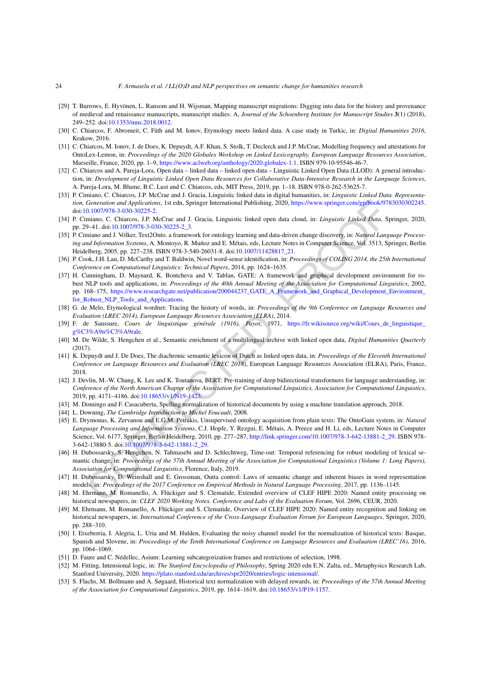- <span id="page-23-0"></span>[29] T. Burrows, E. Hyvönen, L. Ransom and H. Wijsman, Mapping manuscript migrations: Digging into data for the history and provenance of medieval and renaissance manuscripts, manuscript studies: A, *Journal of the Schoenberg Institute for Manuscript Studies* **3**(1) (2018), 249–252. doi[:10.1353/mns.2018.0012](https://doi.org/10.1353/mns.2018.0012).
- <span id="page-23-7"></span>[30] C. Chiarcos, F. Abromeit, C. Fäth and M. Ionov, Etymology meets linked data. A case study in Turkic, in: *Digital Humanities 2016*, Krakow, 2016.
- <span id="page-23-5"></span>[31] C. Chiarcos, M. Ionov, J. de Does, K. Depuydt, A.F. Khan, S. Stolk, T. Declerck and J.P. McCrae, Modelling frequency and attestations for OntoLex-Lemon, in: *Proceedings of the 2020 Globalex Workshop on Linked Lexicography, European Language Resources Association*, Marseille, France, 2020, pp. 1–9, [https://www.aclweb.org/anthology/2020.globalex-1.1.](https://www.aclweb.org/anthology/2020.globalex-1.1) ISBN 979-10-95546-46-7.
- <span id="page-23-1"></span>[32] C. Chiarcos and A. Pareja-Lora, Open data – linked data – linked open data – Linguistic Linked Open Data (LLOD): A general introduction, in: Development of Linguistic Linked Open Data Resources for Collaborative Data-Intensive Research in the Language Sciences, A. Pareja-Lora, M. Blume, B.C. Lust and C. Chiarcos, eds, MIT Press, 2019, pp. 1–18. ISBN 978-0-262-53625-7.
- <span id="page-23-22"></span>[33] P. Cimiano, C. Chiarcos, J.P. McCrae and J. Gracia, Linguistic linked data in digital humanities, in: *Linguistic Linked Data. Representation, Generation and Applications*, 1st edn, Springer International Publishing, 2020, [https://www.springer.com/gp/book/9783030302245.](https://www.springer.com/gp/book/9783030302245) doi:10.1007/978-3-030-30225-2.
- <span id="page-23-23"></span>[34] P. Cimiano, C. Chiarcos, J.P. McCrae and J. Gracia, Linguistic linked open data cloud, in: *Linguistic Linked Data*, Springer, 2020, pp. 29–41. doi:10.1007/978-3-030-30225-2\_3.
- <span id="page-23-18"></span>[35] P. Cimiano and J. Völker, Text2Onto. a framework for ontology learning and data-driven change discovery, in: *Natural Language Processing and Information Systems*, A. Montoyo, R. Muńoz and E. Métais, eds, Lecture Notes in Computer Science, Vol. 3513, Springer, Berlin Heidelberg, 2005, pp. 227–238. ISBN 978-3-540-26031-8. doi:10.1007/11428817\_21.
- <span id="page-23-21"></span><span id="page-23-8"></span>[36] P. Cook, J.H. Lau, D. McCarthy and T. Baldwin, Novel word-sense identification, in: *Proceedings of COLING 2014, the 25th International Conference on Computational Linguistics: Technical Papers*, 2014, pp. 1624–1635.
- Generation and Applications, 1st edn. Springer International Publishing, 2020, https://www.springer.com/gp/solo/971<br>0.1007/978-3-030-30225-2.<br>minno, C. Chiurcos, J.P. McCnca and J. Grinda, Linguistic linked open dan cloud, [37] H. Cunningham, D. Maynard, K. Bontcheva and V. Tablan, GATE: A framework and graphical development environment for robust NLP tools and applications, in: *Proceedings of the 40th Annual Meeting of the Association for Computational Linguistics*, 2002, pp. 168–175, https://www.researchgate.net/publication/200044237\_GATE\_A\_Framework\_and\_Graphical\_Development\_Environment\_ for\_Robust\_NLP\_Tools\_and\_Applications.
- <span id="page-23-6"></span>[38] G. de Melo, Etymological wordnet: Tracing the history of words, in: *Proceedings of the 9th Conference on Language Resources and Evaluation (LREC 2014), European Language Resources Association (ELRA)*, 2014.
- <span id="page-23-3"></span>[39] F. de Saussure, *Cours de linguistique générale (1916), Payot*, 1971, [https://fr.wikisource.org/wiki/Cours\\_de\\_linguistique\\_](https://fr.wikisource.org/wiki/Cours_de_linguistique_g%C3%A9n%C3%A9rale) g%C3%A9n%C3%A9rale.
- <span id="page-23-16"></span>[40] M. De Wilde, S. Hengchen et al., Semantic enrichment of a multilingual archive with linked open data, *Digital Humanities Quarterly* (2017).
- <span id="page-23-24"></span>[41] K. Depuydt and J. De Does, The diachronic semantic lexicon of Dutch as linked open data, in: *Proceedings of the Eleventh International Conference on Language Resources and Evaluation (LREC 2018)*, European Language Resources Association (ELRA), Paris, France, 2018.
- <span id="page-23-17"></span>[42] J. Devlin, M.-W. Chang, K. Lee and K. Toutanova, BERT: Pre-training of deep bidirectional transformers for language understanding, in: Conference of the North American Chapter of the Association for Computational Linguistics, Association for Computational Linguistics, 2019, pp. 4171–4186. doi:10.18653/v1/N19-1423.
- <span id="page-23-12"></span>[43] M. Domingo and F. Casacuberta, Spelling normalization of historical documents by using a machine translation approach, 2018.
- <span id="page-23-4"></span>[44] L. Downing, *The Cambridge Introduction to Michel Foucault*, 2008.
- <span id="page-23-20"></span>[45] E. Drymonas, K. Zervanou and E.G.M. Petrakis, Unsupervised ontology acquisition from plain texts: The OntoGain system, in: *Natural Language Processing and Information Systems*, C.J. Hopfe, Y. Rezgui, E. Métais, A. Preece and H. Li, eds, Lecture Notes in Computer Science, Vol. 6177, Springer, Berlin Heidelberg, 2010, pp. 277–287, http://link.springer.com/10.1007/978-3-642-13881-2\_29. ISBN 978- 3-642-13880-5. doi:10.1007/978-3-642-13881-2\_29.
- <span id="page-23-10"></span>[46] H. Dubossarsky, S. Hengchen, N. Tahmasebi and D. Schlechtweg, Time-out: Temporal referencing for robust modeling of lexical semantic change, in: Proceedings of the 57th Annual Meeting of the Association for Computational Linguistics (Volume 1: Long Papers), *Association for Computational Linguistics*, Florence, Italy, 2019.
- <span id="page-23-9"></span>[47] H. Dubossarsky, D. Weinshall and E. Grossman, Outta control: Laws of semantic change and inherent biases in word representation models, in: *Proceedings of the 2017 Conference on Empirical Methods in Natural Language Processing*, 2017, pp. 1136–1145.
- <span id="page-23-14"></span>[48] M. Ehrmann, M. Romanello, A. Flückiger and S. Clematide, Extended overview of CLEF HIPE 2020: Named entity processing on historical newspapers, in: *CLEF 2020 Working Notes. Conference and Labs of the Evaluation Forum*, Vol. 2696, CEUR, 2020.
- <span id="page-23-15"></span>[49] M. Ehrmann, M. Romanello, A. Flückiger and S. Clematide, Overview of CLEF HIPE 2020: Named entity recognition and linking on historical newspapers, in: *International Conference of the Cross-Language Evaluation Forum for European Languages*, Springer, 2020, pp. 288–310.
- <span id="page-23-11"></span>[50] I. Etxeberria, I. Alegria, L. Uria and M. Hulden, Evaluating the noisy channel model for the normalization of historical texts: Basque, Spanish and Slovene, in: *Proceedings of the Tenth International Conference on Language Resources and Evaluation (LREC'16)*, 2016, pp. 1064–1069.
- <span id="page-23-19"></span>[51] D. Faure and C. Nédellec, Asium: Learning subcategorization frames and restrictions of selection, 1998.
- <span id="page-23-2"></span>[52] M. Fitting, Intensional logic, in: *The Stanford Encyclopedia of Philosophy*, Spring 2020 edn E.N. Zalta, ed., Metaphysics Research Lab, Stanford University, 2020. <https://plato.stanford.edu/archives/spr2020/entries/logic-intensional/>.
- <span id="page-23-13"></span>[53] S. Flachs, M. Bollmann and A. Søgaard, Historical text normalization with delayed rewards, in: *Proceedings of the 57th Annual Meeting of the Association for Computational Linguistics*, 2019, pp. 1614–1619. doi[:10.18653/v1/P19-1157](https://doi.org/10.18653/v1/P19-1157).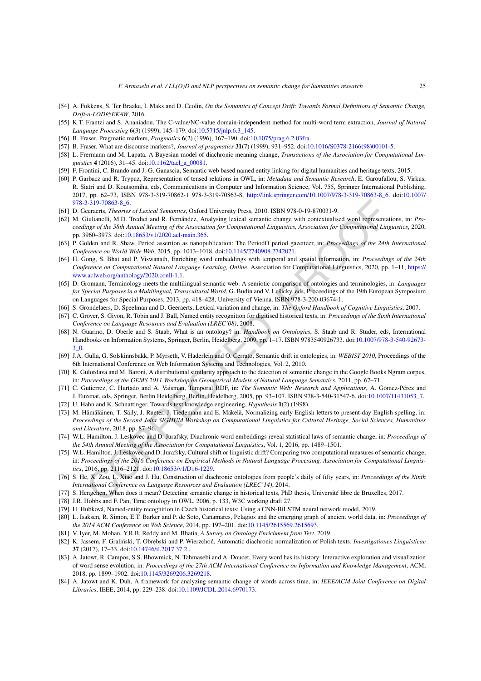- <span id="page-24-2"></span>[54] A. Fokkens, S. Ter Braake, I. Maks and D. Ceolin, *On the Semantics of Concept Drift: Towards Formal Definitions of Semantic Change, Drift-a-LOD@EKAW*, 2016.
- <span id="page-24-30"></span>[55] K.T. Frantzi and S. Ananiadou, The C-value/NC-value domain-independent method for multi-word term extraction, *Journal of Natural Language Processing* **6**(3) (1999), 145–179. doi[:10.5715/jnlp.6.3\\_145.](https://doi.org/10.5715/jnlp.6.3_145)
- <span id="page-24-7"></span>[56] B. Fraser, Pragmatic markers, *Pragmatics* **6**(2) (1996), 167–190. doi:[10.1075/prag.6.2.03fra.](https://doi.org/10.1075/prag.6.2.03fra)
- <span id="page-24-8"></span>[57] B. Fraser, What are discourse markers?, *Journal of pragmatics* **31**(7) (1999), 931–952. doi[:10.1016/S0378-2166\(98\)00101-5.](https://doi.org/10.1016/S0378-2166(98)00101-5)
- <span id="page-24-14"></span>[58] L. Frermann and M. Lapata, A Bayesian model of diachronic meaning change, *Transactions of the Association for Computational Linguistics* **4** (2016), 31–45. doi:[10.1162/tacl\\_a\\_00081.](https://doi.org/10.1162/tacl_a_00081)
- <span id="page-24-20"></span>[59] F. Frontini, C. Brando and J.-G. Ganascia, Semantic web based named entity linking for digital humanities and heritage texts, 2015.
- <span id="page-24-11"></span>[60] P. Garbacz and R. Trypuz, Representation of tensed relations in OWL, in: *Metadata and Semantic Research*, E. Garoufallou, S. Virkus, R. Siatri and D. Koutsomiha, eds, Communications in Computer and Information Science, Vol. 755, Springer International Publishing, 2017, pp. 62–73, ISBN 978-3-319-70862-1 978-3-319-70863-8, [http://link.springer.com/10.1007/978-3-319-70863-8\\_6.](http://link.springer.com/10.1007/978-3-319-70863-8_6) doi:[10.1007/](https://doi.org/10.1007/978-3-319-70863-8_6) [978-3-319-70863-8\\_6](https://doi.org/10.1007/978-3-319-70863-8_6).
- <span id="page-24-4"></span>[61] D. Geeraerts, *Theories of Lexical Semantics*, Oxford University Press, 2010. ISBN 978-0-19-870031-9.
- <span id="page-24-25"></span>[62] M. Giulianelli, M.D. Tredici and R. Fernández, Analysing lexical semantic change with contextualised word representations, in: *Pro*ceedings of the 58th Annual Meeting of the Association for Computational Linguistics, Association for Computational Linguistics, 2020, pp. 3960–3973. doi:10.18653/v1/2020.acl-main.365.
- <span id="page-24-23"></span><span id="page-24-13"></span>[63] P. Golden and R. Shaw, Period assertion as nanopublication: The PeriodO period gazetteer, in: *Proceedings of the 24th International Conference on World Wide Web*, 2015, pp. 1013–1018. doi:10.1145/2740908.2742021.
- 3-31)-7068-8-8, 6.<br>
2.11). ISBN 978-8-8-06.<br>
2.11). ISBN 978-0-19-870031-9.<br>
certains, Theories of Lexical Somantics, Oxford University Press, 2010. ISBN 978-0-19-870031-9.<br>
initianelli, M.D. Tredici and R. Fermindex, Anal [64] H. Gong, S. Bhat and P. Viswanath, Enriching word embeddings with temporal and spatial information, in: *Proceedings of the 24th Conference on Computational Natural Language Learning, Online*, Association for Computational Linguistics, 2020, pp. 1–11, [https://](https://www.aclweb.org/anthology/2020.conll-1.1) www.aclweb.org/anthology/2020.conll-1.1.
- <span id="page-24-6"></span>[65] D. Gromann, Terminology meets the multilingual semantic web: A semiotic comparison of ontologies and terminologies, in: *Languages for Special Purposes in a Multilingual, Transcultural World*, G. Budin and V. Lušicky, eds, Proceedings of the 19th European Symposium on Languages for Special Purposes, 2013, pp. 418–428, University of Vienna. ISBN 978-3-200-03674-1.
- <span id="page-24-5"></span>[66] S. Grondelaers, D. Speelman and D. Geeraerts, Lexical variation and change, in: *The Oxford Handbook of Cognitive Linguistics*, 2007.
- <span id="page-24-18"></span>[67] C. Grover, S. Givon, R. Tobin and J. Ball, Named entity recognition for digitised historical texts, in: *Proceedings of the Sixth International Conference on Language Resources and Evaluation (LREC'08)*, 2008.
- <span id="page-24-9"></span>[68] N. Guarino, D. Oberle and S. Staab, What is an ontology? in: *Handbook on Ontologies*, S. Staab and R. Studer, eds, International Handbooks on Information Systems, Springer, Berlin, Heidelberg, 2009, pp. 1–17. ISBN 9783540926733. doi[:10.1007/978-3-540-92673-](https://doi.org/10.1007/978-3-540-92673-3_0) [3\\_0.](https://doi.org/10.1007/978-3-540-92673-3_0)
- <span id="page-24-29"></span>[69] J.A. Gulla, G. Solskinnsbakk, P. Myrseth, V. Haderlein and O. Cerrato, Semantic drift in ontologies, in: *WEBIST 2010*, Proceedings of the 6th International Conference on Web Information Systems and Technologies, Vol. 2, 2010.
- <span id="page-24-21"></span>[70] K. Gulordava and M. Baroni, A distributional similarity approach to the detection of semantic change in the Google Books Ngram corpus, in: *Proceedings of the GEMS 2011 Workshop on Geometrical Models of Natural Language Semantics*, 2011, pp. 67–71.
- <span id="page-24-10"></span>[71] C. Gutierrez, C. Hurtado and A. Vaisman, Temporal RDF, in: *The Semantic Web: Research and Applications*, A. Gómez-Pérez and J. Euzenat, eds, Springer, Berlin Heidelberg, Berlin, Heidelberg, 2005, pp. 93–107. ISBN 978-3-540-31547-6. doi[:10.1007/11431053\\_7](https://doi.org/10.1007/11431053_7).
- <span id="page-24-28"></span>[72] U. Hahn and K. Schnattinger, Towards text knowledge engineering, *Hypothesis* **1**(2) (1998).
- <span id="page-24-17"></span>[73] M. Hämäläinen, T. Säily, J. Rueter, J. Tiedemann and E. Mäkelä, Normalizing early English letters to present-day English spelling, in: Proceedings of the Second Joint SIGHUM Workshop on Computational Linguistics for Cultural Heritage, Social Sciences, Humanities *and Literature*, 2018, pp. 87–96.
- <span id="page-24-1"></span>[74] W.L. Hamilton, J. Leskovec and D. Jurafsky, Diachronic word embeddings reveal statistical laws of semantic change, in: *Proceedings of the 54th Annual Meeting of the Association for Computational Linguistics*, Vol. 1, 2016, pp. 1489–1501.
- <span id="page-24-24"></span>[75] W.L. Hamilton, J. Leskovec and D. Jurafsky, Cultural shift or linguistic drift? Comparing two computational measures of semantic change, in: Proceedings of the 2016 Conference on Empirical Methods in Natural Language Processing, Association for Computational Linguis*tics*, 2016, pp. 2116–2121. doi:10.18653/v1/D16-1229.
- <span id="page-24-3"></span>[76] S. He, X. Zou, L. Xiao and J. Hu, Construction of diachronic ontologies from people's daily of fifty years, in: *Proceedings of the Ninth International Conference on Language Resources and Evaluation (LREC'14)*, 2014.
- <span id="page-24-26"></span>[77] S. Hengchen, When does it mean? Detecting semantic change in historical texts, PhD thesis, Université libre de Bruxelles, 2017.
- <span id="page-24-12"></span>[78] J.R. Hobbs and F. Pan, Time ontology in OWL, 2006, p. 133, W3C working draft 27.
- <span id="page-24-19"></span>[79] H. Hubková, Named-entity recognition in Czech historical texts: Using a CNN-BiLSTM neural network model, 2019.
- <span id="page-24-0"></span>[80] L. Isaksen, R. Simon, E.T. Barker and P. de Soto, Cañamares, Pelagios and the emerging graph of ancient world data, in: *Proceedings of the 2014 ACM Conference on Web Science*, 2014, pp. 197–201. doi[:10.1145/2615569.2615693](https://doi.org/10.1145/2615569.2615693).
- <span id="page-24-27"></span>[81] V. Iyer, M. Mohan, Y.R.B. Reddy and M. Bhatia, *A Survey on Ontology Enrichment from Text*, 2019.
- <span id="page-24-16"></span>[82] K. Jassem, F. Graliński, T. Obrębski and P. Wierzchoń, Automatic diachronic normalization of Polish texts, *Investigationes Linguisticae* **37** (2017), 17–33. doi[:10.14746/il.2017.37.2..](https://doi.org/10.14746/il.2017.37.2.)
- <span id="page-24-15"></span>[83] A. Jatowt, R. Campos, S.S. Bhowmick, N. Tahmasebi and A. Doucet, Every word has its history: Interactive exploration and visualization of word sense evolution, in: *Proceedings of the 27th ACM International Conference on Information and Knowledge Management*, ACM, 2018, pp. 1899–1902. doi:[10.1145/3269206.3269218.](https://doi.org/10.1145/3269206.3269218)
- <span id="page-24-22"></span>[84] A. Jatowt and K. Duh, A framework for analyzing semantic change of words across time, in: *IEEE/ACM Joint Conference on Digital Libraries*, IEEE, 2014, pp. 229–238. doi:[10.1109/JCDL.2014.6970173.](https://doi.org/10.1109/JCDL.2014.6970173)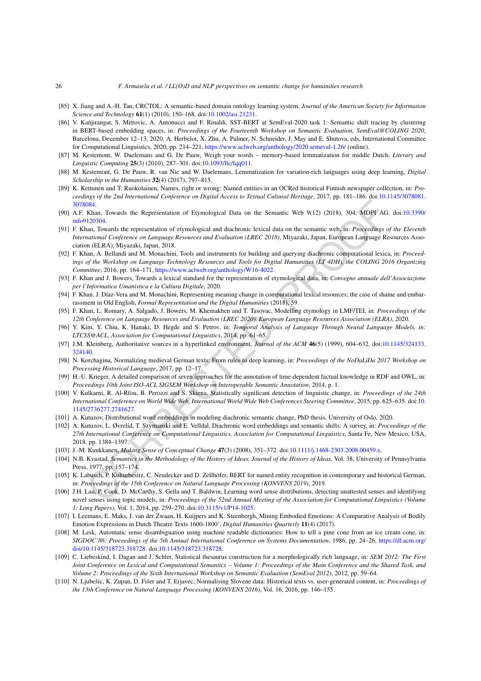- <span id="page-25-21"></span>[85] X. Jiang and A.-H. Tan, CRCTOL: A semantic-based domain ontology learning system, *Journal of the American Society for Information Science and Technology* **61**(1) (2010), 150–168. doi[:10.1002/asi.21231.](https://doi.org/10.1002/asi.21231)
- <span id="page-25-20"></span>[86] V. Kanjirangat, S. Mitrovic, A. Antonucci and F. Rinaldi, SST-BERT at SemEval-2020 task 1: Semantic shift tracing by clustering in BERT-based embedding spaces, in: *Proceedings of the Fourteenth Workshop on Semantic Evaluation, SemEval@COLING 2020*, Barcelona, December 12–13, 2020, A. Herbelot, X. Zhu, A. Palmer, N. Schneider, J. May and E. Shutova, eds, International Committee for Computational Linguistics, 2020, pp. 214–221, <https://www.aclweb.org/anthology/2020.semeval-1.26/> (online).
- <span id="page-25-13"></span>[87] M. Kestemont, W. Daelemans and G. De Pauw, Weigh your words – memory-based lemmatization for middle Dutch, *Literary and Linguistic Computing* **25**(3) (2010), 287–301. doi:[10.1093/llc/fqq011.](https://doi.org/10.1093/llc/fqq011)
- <span id="page-25-15"></span>[88] M. Kestemont, G. De Pauw, R. van Nie and W. Daelemans, Lemmatization for variation-rich languages using deep learning, *Digital Scholarship in the Humanities* **32**(4) (2017), 797–815.
- <span id="page-25-17"></span>[89] K. Kettunen and T. Ruokolainen, Names, right or wrong: Named entities in an OCRed historical Finnish newspaper collection, in: *Proceedings of the 2nd International Conference on Digital Access to Textual Cultural Heritage*, 2017, pp. 181–186. doi:[10.1145/3078081.](https://doi.org/10.1145/3078081.3078084) [3078084.](https://doi.org/10.1145/3078081.3078084)
- <span id="page-25-25"></span><span id="page-25-4"></span>[90] A.F. Khan, Towards the Representation of Etymological Data on the Semantic Web 9(12) (2018), 304, MDPI AG. doi:[10.3390/](https://doi.org/10.3390/info9120304) [info9120304](https://doi.org/10.3390/info9120304).
- 084.<br>
OSA.<br>
Nana, Towards the Representation of Elymological Data on the Semantic Web 9(12) (2018), 304, MDFI AG.<br>
Nana, Towards the representation of elymological Data on the Semantic Web 9(12) (2018), 304, MDFI AG.<br>
2012 [91] F. Khan, Towards the representation of etymological and diachronic lexical data on the semantic web, in: *Proceedings of the Eleventh International Conference on Language Resources and Evaluation (LREC 2018)*, Miyazaki, Japan, European Language Resources Association (ELRA), Miyazaki, Japan, 2018.
- <span id="page-25-6"></span>[92] F. Khan, A. Bellandi and M. Monachini, Tools and instruments for building and querying diachronic computational lexica, in: *Proceed*ings of the Workshop on Language Technology Resources and Tools for Digital Humanities (LT 4DH), the COLING 2016 Organizing *Committee*, 2016, pp. 164–171, https://www.aclweb.org/anthology/W16-4022.
- <span id="page-25-8"></span>[93] F. Khan and J. Bowers, Towards a lexical standard for the representation of etymological data, in: *Convegno annuale dell'Associazione per l'Informatica Umanistica e la Cultura Digitale*, 2020.
- <span id="page-25-5"></span>[94] F. Khan, J. Díaz-Vera and M. Monachini, Representing meaning change in computational lexical resources; the case of shame and embarrassment in Old English, *Formal Representation and the Digital Humanities* (2018), 59.
- <span id="page-25-3"></span>[95] F. Khan, L. Romary, A. Salgado, J. Bowers, M. Khemakhen and T. Tasovac, Modelling etymology in LMF/TEI, in: *Proceedings of the 12th Conference on Language Resources and Evaluation (LREC 2020), European Language Resources Association (ELRA)*, 2020.
- <span id="page-25-10"></span>[96] Y. Kim, Y. Chiu, K. Hanaki, D. Hegde and S. Petrov, in: *Temporal Analysis of Language Through Neural Language Models, in: LTCSS@ACL, Association for Computational Linguistics*, 2014, pp. 61–65.
- <span id="page-25-22"></span>[97] J.M. Kleinberg, Authoritative sources in a hyperlinked environment, *Journal of the ACM* **46**(5) (1999), 604–632. doi:[10.1145/324133.](https://doi.org/10.1145/324133.324140) [324140.](https://doi.org/10.1145/324133.324140)
- <span id="page-25-14"></span>[98] N. Korchagina, Normalizing medieval German texts: From rules to deep learning, in: *Proceedings of the NoDaLiDa 2017 Workshop on Processing Historical Language*, 2017, pp. 12–17.
- <span id="page-25-7"></span>[99] H.-U. Krieger, A detailed comparison of seven approaches for the annotation of time-dependent factual knowledge in RDF and OWL, in: *Proceedings 10th Joint ISO-ACL SIGSEM Workshop on Interoperable Semantic Annotation*, 2014, p. 1.
- <span id="page-25-11"></span>[100] V. Kulkarni, R. Al-Rfou, B. Perozzi and S. Skiena, Statistically significant detection of linguistic change, in: *Proceedings of the 24th International Conference on World Wide Web, International World Wide Web Conferences Steering Committee*, 2015, pp. 625–635. doi:[10.](https://doi.org/10.1145/2736277.2741627) 1145/2736277.2741627.
- <span id="page-25-12"></span>[101] A. Kutuzov, Distributional word embeddings in modeling diachronic semantic change, PhD thesis, University of Oslo, 2020.
- <span id="page-25-0"></span>[102] A. Kutuzov, L. Øvrelid, T. Szymanski and E. Velldal, Diachronic word embeddings and semantic shifts: A survey, in: *Proceedings of the 27th International Conference on Computational Linguistics, Association for Computational Linguistics*, Santa Fe, New Mexico, USA, 2018, pp. 1384–1397.
- <span id="page-25-1"></span>[103] J.-M. Kuukkanen, *Making Sense of Conceptual Change* **47**(3) (2008), 351–372. doi:10.1111/j.1468-2303.2008.00459.x.
- <span id="page-25-2"></span>[104] N.B. Kvastad, Semantics in the Methodology of the History of Ideas, Journal of the History of Ideas, Vol. 38, University of Pennsylvania Press, 1977, pp. 157–174.
- <span id="page-25-18"></span>[105] K. Labusch, P. Kulturbesitz, C. Neudecker and D. Zellhöfer, BERT for named entity recognition in contemporary and historical German, in: *Proceedings of the 15th Conference on Natural Language Processing (KONVENS 2019)*, 2019.
- <span id="page-25-9"></span>[106] J.H. Lau, P. Cook, D. McCarthy, S. Gella and T. Baldwin, Learning word sense distributions, detecting unattested senses and identifying novel senses using topic models, in: *Proceedings of the 52nd Annual Meeting of the Association for Computational Linguistics (Volume 1: Long Papers)*, Vol. 1, 2014, pp. 259–270. doi[:10.3115/v1/P14-1025](https://doi.org/10.3115/v1/P14-1025).
- <span id="page-25-24"></span>[107] I. Leemans, E. Maks, J. van der Zwaan, H. Kuijpers and K. Steenbergh, Mining Embodied Emotions: A Comparative Analysis of Bodily Emotion Expressions in Dutch Theatre Texts 1600-1800', *Digital Humanities Quarterly* **11**(4) (2017).
- <span id="page-25-23"></span>[108] M. Lesk, Automatic sense disambiguation using machine readable dictionaries: How to tell a pine cone from an ice cream cone, in: *SIGDOC'86: Proceedings of the 5th Annual International Conference on Systems Documentation*, 1986, pp. 24–26, [https://dl.acm.org/](https://dl.acm.org/doi/10.1145/318723.318728) [doi/10.1145/318723.318728.](https://dl.acm.org/doi/10.1145/318723.318728) doi[:10.1145/318723.318728](https://doi.org/10.1145/318723.318728).
- <span id="page-25-19"></span>[109] C. Liebeskind, I. Dagan and J. Schler, Statistical thesaurus construction for a morphologically rich language, in: *SEM 2012: The First* Joint Conference on Lexical and Computational Semantics - Volume 1: Proceedings of the Main Conference and the Shared Task, and *Volume 2: Proceedings of the Sixth International Workshop on Semantic Evaluation (SemEval 2012)*, 2012, pp. 59–64.
- <span id="page-25-16"></span>[110] N. Ljubešic, K. Zupan, D. Fišer and T. Erjavec, Normalising Slovene data: Historical texts vs. user-generated content, in: *Proceedings of the 13th Conference on Natural Language Processing (KONVENS 2016)*, Vol. 16, 2016, pp. 146–155.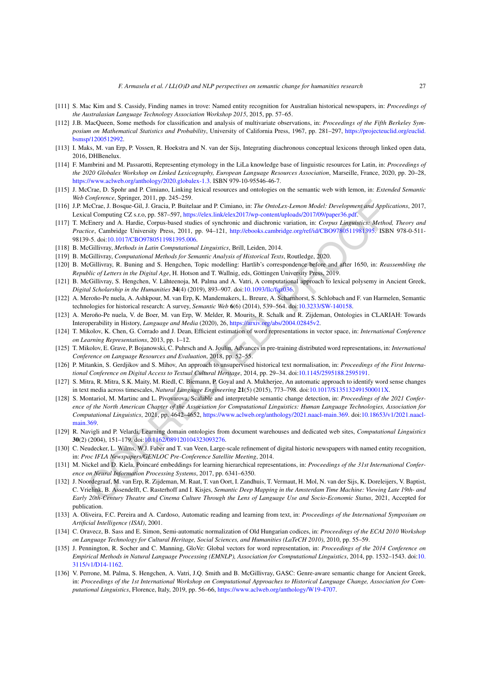- <span id="page-26-12"></span>[111] S. Mac Kim and S. Cassidy, Finding names in trove: Named entity recognition for Australian historical newspapers, in: *Proceedings of the Australasian Language Technology Association Workshop 2015*, 2015, pp. 57–65.
- <span id="page-26-23"></span>[112] J.B. MacQueen, Some methods for classification and analysis of multivariate observations, in: *Proceedings of the Fifth Berkeley Symposium on Mathematical Statistics and Probability*, University of California Press, 1967, pp. 281–297, [https://projecteuclid.org/euclid.](https://projecteuclid.org/euclid.bsmsp/1200512992) [bsmsp/1200512992](https://projecteuclid.org/euclid.bsmsp/1200512992).
- <span id="page-26-24"></span>[113] I. Maks, M. van Erp, P. Vossen, R. Hoekstra and N. van der Sijs, Integrating diachronous conceptual lexicons through linked open data, 2016, DHBenelux.
- <span id="page-26-5"></span>[114] F. Mambrini and M. Passarotti, Representing etymology in the LiLa knowledge base of linguistic resources for Latin, in: *Proceedings of the 2020 Globalex Workshop on Linked Lexicography, European Language Resources Association*, Marseille, France, 2020, pp. 20–28, <https://www.aclweb.org/anthology/2020.globalex-1.3>. ISBN 979-10-95546-46-7.
- <span id="page-26-3"></span>[115] J. McCrae, D. Spohr and P. Cimiano, Linking lexical resources and ontologies on the semantic web with lemon, in: *Extended Semantic Web Conference*, Springer, 2011, pp. 245–259.
- <span id="page-26-4"></span>[116] J.P. McCrae, J. Bosque-Gil, J. Gracia, P. Buitelaar and P. Cimiano, in: *The OntoLex-Lemon Model: Development and Applications*, 2017, Lexical Computing CZ s.r.o, pp. 587–597, https://elex.link/elex2017/wp-content/uploads/2017/09/paper36.pdf.
- <span id="page-26-2"></span>[117] T. McEnery and A. Hardie, Corpus-based studies of synchronic and diachronic variation, in: *Corpus Linguistics: Method, Theory and Practice*, Cambridge University Press, 2011, pp. 94–121, http://ebooks.cambridge.org/ref/id/CBO9780511981395. ISBN 978-0-511- 98139-5. doi:10.1017/CBO9780511981395.006.
- <span id="page-26-8"></span>[118] B. McGillivray, *Methods in Latin Computational Linguistics*, Brill, Leiden, 2014.
- <span id="page-26-20"></span>[119] B. McGillivray, *Computational Methods for Semantic Analysis of Historical Texts*, Routledge, 2020.
- <span id="page-26-18"></span>[120] B. McGillivray, R. Buning and S. Hengchen, Topic modelling: Hartlib's correspondence before and after 1650, in: *Reassembling the Republic of Letters in the Digital Age*, H. Hotson and T. Wallnig, eds, Göttingen University Press, 2019.
- <span id="page-26-19"></span>[121] B. McGillivray, S. Hengchen, V. Lähteenoja, M. Palma and A. Vatri, A computational approach to lexical polysemy in Ancient Greek, *Digital Scholarship in the Humanities* **34**(4) (2019), 893–907. doi:10.1093/llc/fqz036.
- <span id="page-26-0"></span>[122] A. Meroño-Pe nuela, A. Ashkpour, M. van Erp, K. Mandemakers, L. Breure, A. Scharnhorst, S. Schlobach and F. van Harmelen, Semantic technologies for historical research: A survey, *Semantic Web* **6**(6) (2014), 539–564. doi:10.3233/SW-140158.
- <span id="page-26-1"></span>[123] A. Meroño-Pe nuela, V. de Boer, M. van Erp, W. Melder, R. Mourits, R. Schalk and R. Zijdeman, Ontologies in CLARIAH: Towards Interoperability in History, *Language and Media* (2020), 26, https://arxiv.org/abs/2004.02845v2.
- <span id="page-26-14"></span>[124] T. Mikolov, K. Chen, G. Corrado and J. Dean, Efficient estimation of word representations in vector space, in: *International Conference on Learning Representations*, 2013, pp. 1–12.
- <span id="page-26-15"></span>[125] T. Mikolov, E. Grave, P. Bojanowski, C. Puhrsch and A. Joulin, Advances in pre-training distributed word representations, in: *International Conference on Language Resources and Evaluation*, 2018, pp. 52–55.
- <span id="page-26-10"></span>[126] P. Mitankin, S. Gerdjikov and S. Mihov, An approach to unsupervised historical text normalisation, in: *Proceedings of the First International Conference on Digital Access to Textual Cultural Heritage*, 2014, pp. 29–34. doi:10.1145/2595188.2595191.
- <span id="page-26-11"></span><span id="page-26-6"></span>[127] S. Mitra, R. Mitra, S.K. Maity, M. Riedl, C. Biemann, P. Goyal and A. Mukherjee, An automatic approach to identify word sense changes in text media across timescales, *Natural Language Engineering* **21**(5) (2015), 773–798. doi:10.1017/S135132491500011X.
- dia Comparison Correlation Batter and [P](https://doi.org/10.1093/llc/fqz036). Climiano, in: The OntoLex-Lemon Model: Development and Applia<br>Inc. Checkman Batter and P. Comparison: The OntoLex-Lemon Model: Development and Applia<br>Inc. Checkman Batter and A. Har [128] S. Montariol, M. Martinc and L. Pivovarova, Scalable and interpretable semantic change detection, in: *Proceedings of the 2021 Confer*ence of the North American Chapter of the Association for Computational Linguistics: Human Language Technologies, Association for *Computational Linguistics*, 2021, pp. 4642–4652, https://www.aclweb.org/anthology/2021.naacl-main.369. doi[:10.18653/v1/2021.naacl](https://doi.org/10.18653/v1/2021.naacl-main.369)main. 369
- <span id="page-26-21"></span>[129] R. Navigli and P. Velardi, Learning domain ontologies from document warehouses and dedicated web sites, *Computational Linguistics* **30**(2) (2004), 151–179. doi:10.1162/089120104323093276.
- <span id="page-26-13"></span>[130] C. Neudecker, L. Wilms, W.J. Faber and T. van Veen, Large-scale refinement of digital historic newspapers with named entity recognition, in: *Proc IFLA Newspapers/GENLOC Pre-Conference Satellite Meeting*, 2014.
- <span id="page-26-17"></span>[131] M. Nickel and D. Kiela, Poincaré embeddings for learning hierarchical representations, in: *Proceedings of the 31st International Conference on Neural Information Processing Systems*, 2017, pp. 6341–6350.
- <span id="page-26-25"></span>[132] J. Noordegraaf, M. van Erp, R. Zijdeman, M. Raat, T. van Oort, I. Zandhuis, T. Vermaut, H. Mol, N. van der Sijs, K. Doreleijers, V. Baptist, C. Vrielink, B. Assendelft, C. Rasterhoff and I. Kisjes, *Semantic Deep Mapping in the Amsterdam Time Machine: Viewing Late 19th- and* Early 20th-Century Theatre and Cinema Culture Through the Lens of Language Use and Socio-Economic Status, 2021, Accepted for publication.
- <span id="page-26-22"></span>[133] A. Oliveira, F.C. Pereira and A. Cardoso, Automatic reading and learning from text, in: *Proceedings of the International Symposium on Artificial Intelligence (ISAI)*, 2001.
- <span id="page-26-9"></span>[134] C. Oravecz, B. Sass and E. Simon, Semi-automatic normalization of Old Hungarian codices, in: *Proceedings of the ECAI 2010 Workshop on Language Technology for Cultural Heritage, Social Sciences, and Humanities (LaTeCH 2010)*, 2010, pp. 55–59.
- <span id="page-26-16"></span>[135] J. Pennington, R. Socher and C. Manning, GloVe: Global vectors for word representation, in: *Proceedings of the 2014 Conference on Empirical Methods in Natural Language Processing (EMNLP), Association for Computational Linguistics*, 2014, pp. 1532–1543. doi:[10.](https://doi.org/10.3115/v1/D14-1162) [3115/v1/D14-1162](https://doi.org/10.3115/v1/D14-1162).
- <span id="page-26-7"></span>[136] V. Perrone, M. Palma, S. Hengchen, A. Vatri, J.Q. Smith and B. McGillivray, GASC: Genre-aware semantic change for Ancient Greek, in: Proceedings of the 1st International Workshop on Computational Approaches to Historical Language Change. Association for Com*putational Linguistics*, Florence, Italy, 2019, pp. 56–66, <https://www.aclweb.org/anthology/W19-4707>.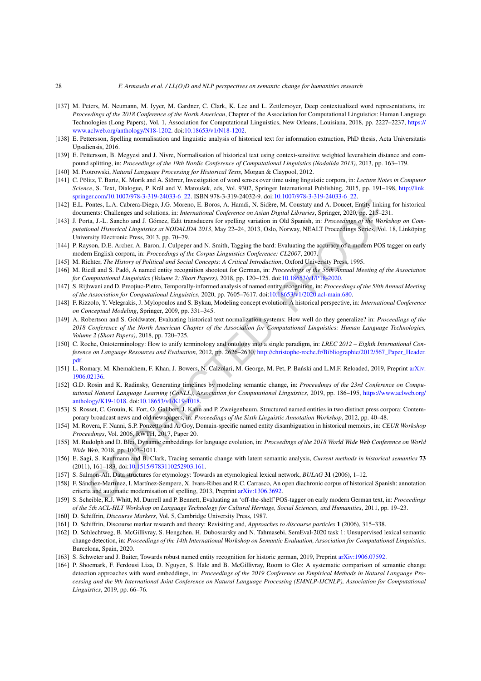- <span id="page-27-25"></span>[137] M. Peters, M. Neumann, M. Iyyer, M. Gardner, C. Clark, K. Lee and L. Zettlemoyer, Deep contextualized word representations, in: *Proceedings of the 2018 Conference of the North American*, Chapter of the Association for Computational Linguistics: Human Language Technologies (Long Papers), Vol. 1, Association for Computational Linguistics, New Orleans, Louisiana, 2018, pp. 2227–2237, [https://](https://www.aclweb.org/anthology/N18-1202) [www.aclweb.org/anthology/N18-1202.](https://www.aclweb.org/anthology/N18-1202) doi[:10.18653/v1/N18-1202.](https://doi.org/10.18653/v1/N18-1202)
- <span id="page-27-15"></span>[138] E. Pettersson, Spelling normalisation and linguistic analysis of historical text for information extraction, PhD thesis, Acta Universitatis Upsaliensis, 2016.
- <span id="page-27-14"></span>[139] E. Pettersson, B. Megyesi and J. Nivre, Normalisation of historical text using context-sensitive weighted levenshtein distance and compound splitting, in: *Proceedings of the 19th Nordic Conference of Computational Linguistics (Nodalida 2013)*, 2013, pp. 163–179.
- <span id="page-27-10"></span>[140] M. Piotrowski, *Natural Language Processing for Historical Texts*, Morgan & Claypool, 2012.
- <span id="page-27-26"></span>[141] C. Pölitz, T. Bartz, K. Morik and A. Störrer, Investigation of word senses over time using linguistic corpora, in: *Lecture Notes in Computer Science*, S. Text, Dialogue, P. Král and V. Matoušek, eds, Vol. 9302, Springer International Publishing, 2015, pp. 191–198, [http://link.](http://link.springer.com/10.1007/978-3-319-24033-6_22) [springer.com/10.1007/978-3-319-24033-6\\_22.](http://link.springer.com/10.1007/978-3-319-24033-6_22) ISBN 978-3-319-24032-9. doi:[10.1007/978-3-319-24033-6\\_22](https://doi.org/10.1007/978-3-319-24033-6_22).
- <span id="page-27-22"></span>[142] E.L. Pontes, L.A. Cabrera-Diego, J.G. Moreno, E. Boros, A. Hamdi, N. Sidère, M. Coustaty and A. Doucet, Entity linking for historical documents: Challenges and solutions, in: *International Conference on Asian Digital Libraries*, Springer, 2020, pp. 215–231.
- <span id="page-27-13"></span>[143] J. Porta, J.-L. Sancho and J. Gómez, Edit transducers for spelling variation in Old Spanish, in: *Proceedings of the Workshop on Computational Historical Linguistics at NODALIDA 2013*, May 22–24, 2013, Oslo, Norway, NEALT Proceedings Series, Vol. 18, Linköping University Electronic Press, 2013, pp. 70–79.
- <span id="page-27-11"></span>[144] P. Rayson, D.E. Archer, A. Baron, J. Culpeper and N. Smith, Tagging the bard: Evaluating the accuracy of a modern POS tagger on early modern English corpora, in: *Proceedings of the Corpus Linguistics Conference: CL2007*, 2007.
- <span id="page-27-1"></span>[145] M. Richter, *The History of Political and Social Concepts: A Critical Introduction*, Oxford University Press, 1995.
- <span id="page-27-18"></span>[146] M. Riedl and S. Padó, A named entity recognition shootout for German, in: *Proceedings of the 56th Annual Meeting of the Association for Computational Linguistics (Volume 2: Short Papers)*, 2018, pp. 120–125. doi:10.18653/v1/P18-2020.
- <span id="page-27-23"></span>[147] S. Rijhwani and D. Preoțiuc-Pietro, Temporally-informed analysis of named entity recognition, in: *Proceedings of the 58th Annual Meeting of the Association for Computational Linguistics*, 2020, pp. 7605–7617. doi:10.18653/v1/2020.acl-main.680.
- <span id="page-27-7"></span>[148] F. Rizzolo, Y. Velegrakis, J. Mylopoulos and S. Bykau, Modeling concept evolution: A historical perspective, in: *International Conference on Conceptual Modeling*, Springer, 2009, pp. 331–345.
- <span id="page-27-17"></span>[149] A. Robertson and S. Goldwater, Evaluating historical text normalization systems: How well do they generalize? in: *Proceedings of the* 2018 Conference of the North American Chapter of the Association for Computational Linguistics: Human Language Technologies, *Volume 2 (Short Papers)*, 2018, pp. 720–725.
- <span id="page-27-2"></span>[150] C. Roche, Ontoterminology: How to unify terminology and ontology into a single paradigm, in: *LREC 2012 – Eighth International Conference on Language Resources and Evaluation*, 2012, pp. 2626–2630, [http://christophe-roche.fr/Bibliographie/2012/567\\_Paper\\_Header.](http://christophe-roche.fr/Bibliographie/2012/567_Paper_Header.pdf) [pdf](http://christophe-roche.fr/Bibliographie/2012/567_Paper_Header.pdf).
- <span id="page-27-27"></span><span id="page-27-6"></span>[151] L. Romary, M. Khemakhem, F. Khan, J. Bowers, N. Calzolari, M. George, M. Pet, P. Bański and L.M.F. Reloaded, 2019, Preprint [arXiv:](http://arxiv.org/abs/arXiv:1906.02136) [1906.02136.](http://arxiv.org/abs/arXiv:1906.02136)
- Penter, L.A. Cubretta-Diepo, I.[O](https://doi.org/10.1515/9783110252903.161). Moreno, E. Dones, A. Humi, N. Sidèr, M. Coastay and A. Dones I. Eng. A. Cubretta-Diepo, I.O. Moreno, Eng. D. Cost (Eng. The United Research (Eng. The United Research (Eng. The United Rese [152] G.D. Rosin and K. Radinsky, Generating timelines by modeling semantic change, in: *Proceedings of the 23rd Conference on Computational Natural Language Learning (CoNLL), Association for Computational Linguistics*, 2019, pp. 186–195, [https://www.aclweb.org/](https://www.aclweb.org/anthology/K19-1018) [anthology/K19-1018](https://www.aclweb.org/anthology/K19-1018). doi:10.18653/v1/K19-1018.
- <span id="page-27-21"></span>[153] S. Rosset, C. Grouin, K. Fort, O. Galibert, J. Kahn and P. Zweigenbaum, Structured named entities in two distinct press corpora: Contemporary broadcast news and old newspapers, in: *Proceedings of the Sixth Linguistic Annotation Workshop*, 2012, pp. 40–48.
- <span id="page-27-20"></span>[154] M. Rovera, F. Nanni, S.P. Ponzetto and A. Goy, Domain-specific named entity disambiguation in historical memoirs, in: *CEUR Workshop Proceedings*, Vol. 2006, RWTH, 2017, Paper 20.
- <span id="page-27-8"></span>[155] M. Rudolph and D. Blei, Dynamic embeddings for language evolution, in: *Proceedings of the 2018 World Wide Web Conference on World Wide Web*, 2018, pp. 1003–1011.
- <span id="page-27-24"></span>[156] E. Sagi, S. Kaufmann and B. Clark, Tracing semantic change with latent semantic analysis, *Current methods in historical semantics* **73** (2011), 161–183. doi:10.1515/9783110252903.161.
- <span id="page-27-5"></span>[157] S. Salmon-Alt, Data structures for etymology: Towards an etymological lexical network, *BULAG* **31** (2006), 1–12.
- <span id="page-27-16"></span>[158] F. Sánchez-Martínez, I. Martínez-Sempere, X. Ivars-Ribes and R.C. Carrasco, An open diachronic corpus of historical Spanish: annotation criteria and automatic modernisation of spelling, 2013, Preprint arXiv:1306.3692.
- <span id="page-27-12"></span>[159] S. Scheible, R.J. Whitt, M. Durrell and P. Bennett, Evaluating an 'off-the-shelf'POS-tagger on early modern German text, in: *Proceedings* of the 5th ACL-HLT Workshop on Language Technology for Cultural Heritage, Social Sciences, and Humanities, 2011, pp. 19-23.
- <span id="page-27-3"></span>[160] D. Schiffrin, *Discourse Markers*, Vol. 5, Cambridge University Press, 1987.
- <span id="page-27-4"></span>[161] D. Schiffrin, Discourse marker research and theory: Revisiting and, *Approaches to discourse particles* **1** (2006), 315–338.
- <span id="page-27-0"></span>[162] D. Schlechtweg, B. McGillivray, S. Hengchen, H. Dubossarsky and N. Tahmasebi, SemEval-2020 task 1: Unsupervised lexical semantic change detection, in: Proceedings of the 14th International Workshop on Semantic Evaluation, Association for Computational Linguistics, Barcelona, Spain, 2020.
- <span id="page-27-19"></span>[163] S. Schweter and J. Baiter, Towards robust named entity recognition for historic german, 2019, Preprint [arXiv:1906.07592.](http://arxiv.org/abs/arXiv:1906.07592)
- <span id="page-27-9"></span>[164] P. Shoemark, F. Ferdousi Liza, D. Nguyen, S. Hale and B. McGillivray, Room to Glo: A systematic comparison of semantic change detection approaches with word embeddings, in: *Proceedings of the 2019 Conference on Empirical Methods in Natural Language Pro*cessing and the 9th International Joint Conference on Natural Language Processing (EMNLP-IJCNLP), Association for Computational *Linguistics*, 2019, pp. 66–76.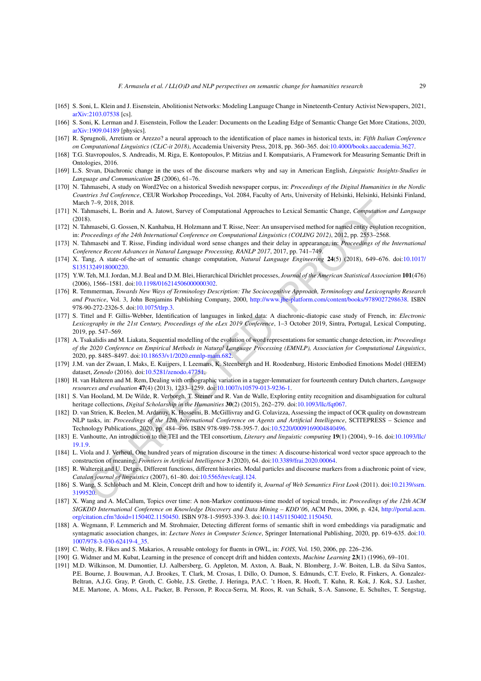- <span id="page-28-9"></span>[165] S. Soni, L. Klein and J. Eisenstein, Abolitionist Networks: Modeling Language Change in Nineteenth-Century Activist Newspapers, 2021, [arXiv:2103.07538](http://arxiv.org/abs/arXiv:2103.07538) [cs].
- <span id="page-28-15"></span>[166] S. Soni, K. Lerman and J. Eisenstein, Follow the Leader: Documents on the Leading Edge of Semantic Change Get More Citations, 2020, [arXiv:1909.04189](http://arxiv.org/abs/arXiv:1909.04189) [physics].
- <span id="page-28-18"></span>[167] R. Sprugnoli, Arretium or Arezzo? a neural approach to the identification of place names in historical texts, in: *Fifth Italian Conference on Computational Linguistics (CLiC-it 2018)*, Accademia University Press, 2018, pp. 360–365. doi[:10.4000/books.aaccademia.3627](https://doi.org/10.4000/books.aaccademia.3627).
- <span id="page-28-4"></span>[168] T.G. Stavropoulos, S. Andreadis, M. Riga, E. Kontopoulos, P. Mitzias and I. Kompatsiaris, A Framework for Measuring Semantic Drift in Ontologies, 2016.
- <span id="page-28-8"></span>[169] L.S. Stvan, Diachronic change in the uses of the discourse markers why and say in American English, *Linguistic Insights-Studies in Language and Communication* **25** (2006), 61–76.
- <span id="page-28-13"></span>[170] N. Tahmasebi, A study on Word2Vec on a historical Swedish newspaper corpus, in: *Proceedings of the Digital Humanities in the Nordic Countries 3rd Conference*, CEUR Workshop Proceedings, Vol. 2084, Faculty of Arts, University of Helsinki, Helsinki, Helsinki Finland, March 7–9, 2018, 2018.
- <span id="page-28-1"></span>[171] N. Tahmasebi, L. Borin and A. Jatowt, Survey of Computational Approaches to Lexical Semantic Change, *Computation and Language* (2018).
- <span id="page-28-17"></span>[172] N. Tahmasebi, G. Gossen, N. Kanhabua, H. Holzmann and T. Risse, Neer: An unsupervised method for named entity evolution recognition, in: *Proceedings of the 24th International Conference on Computational Linguistics (COLING 2012)*, 2012, pp. 2553–2568.
- <span id="page-28-12"></span>[173] N. Tahmasebi and T. Risse, Finding individual word sense changes and their delay in appearance, in: *Proceedings of the International Conference Recent Advances in Natural Language Processing, RANLP 2017*, 2017, pp. 741–749.
- <span id="page-28-2"></span>[174] X. Tang, A state-of-the-art of semantic change computation, *Natural Language Engineering* **24**(5) (2018), 649–676. doi:[10.1017/](https://doi.org/10.1017/S1351324918000220) S1351324918000220.
- <span id="page-28-23"></span><span id="page-28-6"></span>[175] Y.W. Teh, M.I. Jordan, M.J. Beal and D.M. Blei, Hierarchical Dirichlet processes, *Journal of the American Statistical Association* **101**(476) (2006), 1566–1581. doi:10.1198/016214506000000302.
- 2h -20, 2018. 2018.<br>
2h -20, 2018. 2018. 2018. Altow, Survey of [C](https://doi.org/10.5281/zenodo.47751)omputational Approaches to Lexical Semantic Change, Computation<br>
2h).<br>
2h -20, 2018. 2018. The memberical Conference on Computational Linguistics (NCLL/2G 2 [176] R. Temmerman, *Towards New Ways of Terminology Description: The Sociocognitive Approach, Terminology and Lexicography Research and Practice*, Vol. 3, John Benjamins Publishing Company, 2000, http://www.jbe-platform.com/content/books/9789027298638. ISBN 978-90-272-2326-5. doi:10.1075/tlrp.3.
- <span id="page-28-24"></span>[177] S. Tittel and F. Gillis-Webber, Identification of languages in linked data: A diachronic-diatopic case study of French, in: *Electronic Lexicography in the 21st Century, Proceedings of the eLex 2019 Conference*, 1–3 October 2019, Sintra, Portugal, Lexical Computing, 2019, pp. 547–569.
- <span id="page-28-20"></span>[178] A. Tsakalidis and M. Liakata, Sequential modelling of the evolution of word representations forsemantic change detection, in: *Proceedings* of the 2020 Conference on Empirical Methods in Natural Language Processing (EMNLP), Association for Computational Linguistics, 2020, pp. 8485–8497. doi:10.18653/v1/2020.emnlp-main.682.
- <span id="page-28-26"></span>[179] J.M. van der Zwaan, I. Maks, E. Kuijpers, I. Leemans, K. Steenbergh and H. Roodenburg, Historic Embodied Emotions Model (HEEM) dataset, *Zenodo* (2016). doi:10.5281/zenodo.47751.
- <span id="page-28-14"></span>[180] H. van Halteren and M. Rem, Dealing with orthographic variation in a tagger-lemmatizer for fourteenth century Dutch charters, *Language resources and evaluation* **47**(4) (2013), 1233–1259. doi:10.1007/s10579-013-9236-1.
- <span id="page-28-19"></span>[181] S. Van Hooland, M. De Wilde, R. Verborgh, T. Steiner and R. Van de Walle, Exploring entity recognition and disambiguation for cultural heritage collections, *Digital Scholarship in the Humanities* **30**(2) (2015), 262–279. doi:10.1093/llc/fat067.
- <span id="page-28-16"></span>[182] D. van Strien, K. Beelen, M. Ardanuy, K. Hosseini, B. McGillivray and G. Colavizza, Assessing the impact of OCR quality on downstream NLP tasks, in: *Proceedings of the 12th International Conference on Agents and Artificial Intelligence*, SCITEPRESS – Science and Technology Publications, 2020, pp. 484–496. ISBN 978-989-758-395-7. doi:10.5220/0009169004840496.
- <span id="page-28-25"></span>[183] E. Vanhoutte, An introduction to the TEI and the TEI consortium, *Literary and linguistic computing* **19**(1) (2004), 9–16. doi[:10.1093/llc/](https://doi.org/10.1093/llc/19.1.9) [19.1.9.](https://doi.org/10.1093/llc/19.1.9)
- <span id="page-28-10"></span>[184] L. Viola and J. Verheul, One hundred years of migration discourse in the times: A discourse-historical word vector space approach to the construction of meaning, *Frontiers in Artificial Intelligence* **3** (2020), 64. doi:10.3389/frai.2020.00064.
- <span id="page-28-7"></span>[185] R. Waltereit and U. Detges, Different functions, different histories. Modal particles and discourse markers from a diachronic point of view, *Catalan journal of linguistics* (2007), 61–80. doi:10.5565/rev/catjl.124.
- <span id="page-28-3"></span>[186] S. Wang, S. Schlobach and M. Klein, Concept drift and how to identify it, *Journal of Web Semantics First Look* (2011). doi:[10.2139/ssrn.](https://doi.org/10.2139/ssrn.3199520) [3199520.](https://doi.org/10.2139/ssrn.3199520)
- <span id="page-28-22"></span>[187] X. Wang and A. McCallum, Topics over time: A non-Markov continuous-time model of topical trends, in: *Proceedings of the 12th ACM SIGKDD International Conference on Knowledge Discovery and Data Mining – KDD'06*, ACM Press, 2006, p. 424, [http://portal.acm.](http://portal.acm.org/citation.cfm?doid=1150402.1150450) [org/citation.cfm?doid=1150402.1150450.](http://portal.acm.org/citation.cfm?doid=1150402.1150450) ISBN 978-1-59593-339-3. doi:[10.1145/1150402.1150450](https://doi.org/10.1145/1150402.1150450).
- <span id="page-28-21"></span>[188] A. Wegmann, F. Lemmerich and M. Strohmaier, Detecting different forms of semantic shift in word embeddings via paradigmatic and syntagmatic association changes, in: *Lecture Notes in Computer Science*, Springer International Publishing, 2020, pp. 619–635. doi:[10.](https://doi.org/10.1007/978-3-030-62419-4_35) [1007/978-3-030-62419-4\\_35](https://doi.org/10.1007/978-3-030-62419-4_35).
- <span id="page-28-11"></span>[189] C. Welty, R. Fikes and S. Makarios, A reusable ontology for fluents in OWL, in: *FOIS*, Vol. 150, 2006, pp. 226–236.
- <span id="page-28-5"></span>[190] G. Widmer and M. Kubat, Learning in the presence of concept drift and hidden contexts, *Machine Learning* **23**(1) (1996), 69–101.
- <span id="page-28-0"></span>[191] M.D. Wilkinson, M. Dumontier, I.J. Aalbersberg, G. Appleton, M. Axton, A. Baak, N. Blomberg, J.-W. Boiten, L.B. da Silva Santos, P.E. Bourne, J. Bouwman, A.J. Brookes, T. Clark, M. Crosas, I. Dillo, O. Dumon, S. Edmunds, C.T. Evelo, R. Finkers, A. Gonzalez-Beltran, A.J.G. Gray, P. Groth, C. Goble, J.S. Grethe, J. Heringa, P.A.C. 't Hoen, R. Hooft, T. Kuhn, R. Kok, J. Kok, S.J. Lusher, M.E. Martone, A. Mons, A.L. Packer, B. Persson, P. Rocca-Serra, M. Roos, R. van Schaik, S.-A. Sansone, E. Schultes, T. Sengstag,